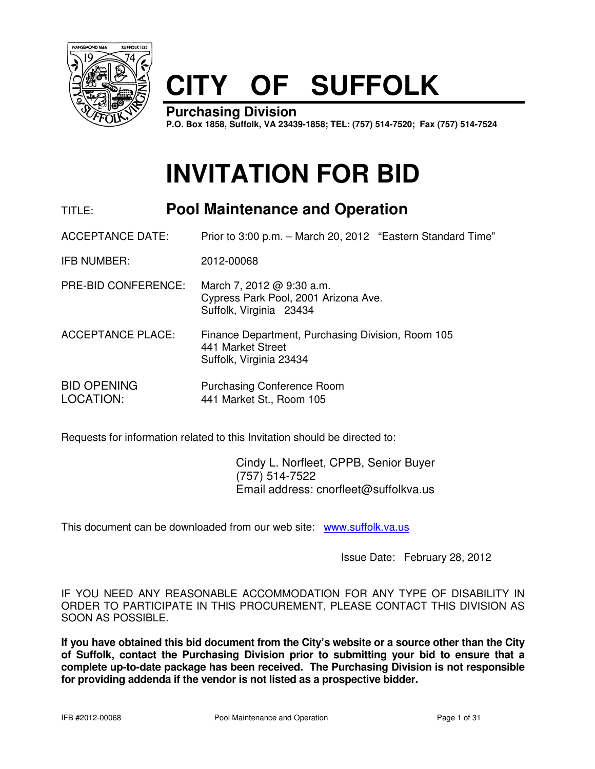

# **CITY OF SUFFOLK**

**Purchasing Division P.O. Box 1858, Suffolk, VA 23439-1858; TEL: (757) 514-7520; Fax (757) 514-7524**

# **INVITATION FOR BID**

## TITLE: **Pool Maintenance and Operation**

ACCEPTANCE DATE: Prior to 3:00 p.m. – March 20, 2012 "Eastern Standard Time"

IFB NUMBER: 2012-00068

PRE-BID CONFERENCE: March 7, 2012 @ 9:30 a.m. Cypress Park Pool, 2001 Arizona Ave. Suffolk, Virginia 23434

ACCEPTANCE PLACE: Finance Department, Purchasing Division, Room 105 441 Market Street Suffolk, Virginia 23434

BID OPENING Purchasing Conference Room LOCATION: 441 Market St., Room 105

Requests for information related to this Invitation should be directed to:

 Cindy L. Norfleet, CPPB, Senior Buyer (757) 514-7522 Email address: cnorfleet@suffolkva.us

This document can be downloaded from our web site: www.suffolk.va.us

Issue Date: February 28, 2012

IF YOU NEED ANY REASONABLE ACCOMMODATION FOR ANY TYPE OF DISABILITY IN ORDER TO PARTICIPATE IN THIS PROCUREMENT, PLEASE CONTACT THIS DIVISION AS SOON AS POSSIBLE.

**If you have obtained this bid document from the City's website or a source other than the City of Suffolk, contact the Purchasing Division prior to submitting your bid to ensure that a complete up-to-date package has been received. The Purchasing Division is not responsible for providing addenda if the vendor is not listed as a prospective bidder.**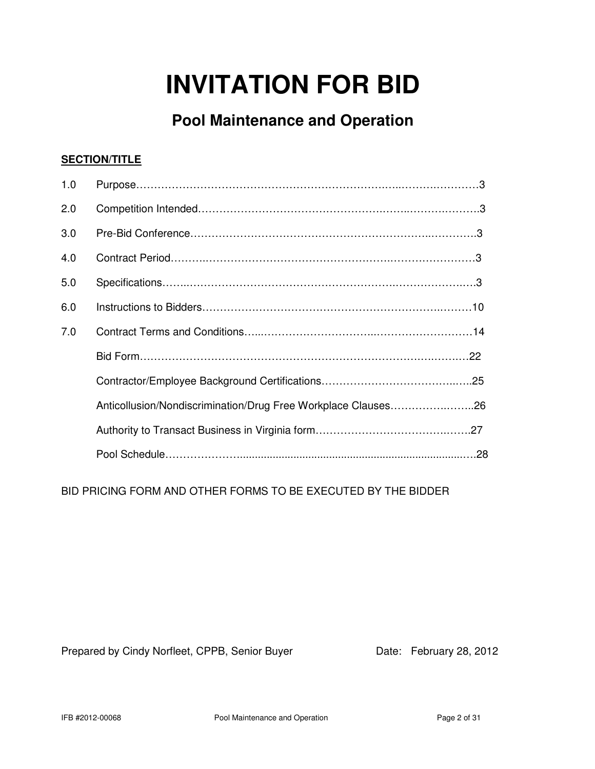# **INVITATION FOR BID**

## **Pool Maintenance and Operation**

## **SECTION/TITLE**

| 1.0 |                                                               |
|-----|---------------------------------------------------------------|
| 2.0 |                                                               |
| 3.0 |                                                               |
| 4.0 |                                                               |
| 5.0 |                                                               |
| 6.0 |                                                               |
| 7.0 |                                                               |
|     |                                                               |
|     |                                                               |
|     | Anticollusion/Nondiscrimination/Drug Free Workplace Clauses26 |
|     |                                                               |
|     |                                                               |

BID PRICING FORM AND OTHER FORMS TO BE EXECUTED BY THE BIDDER

Prepared by Cindy Norfleet, CPPB, Senior Buyer Date: February 28, 2012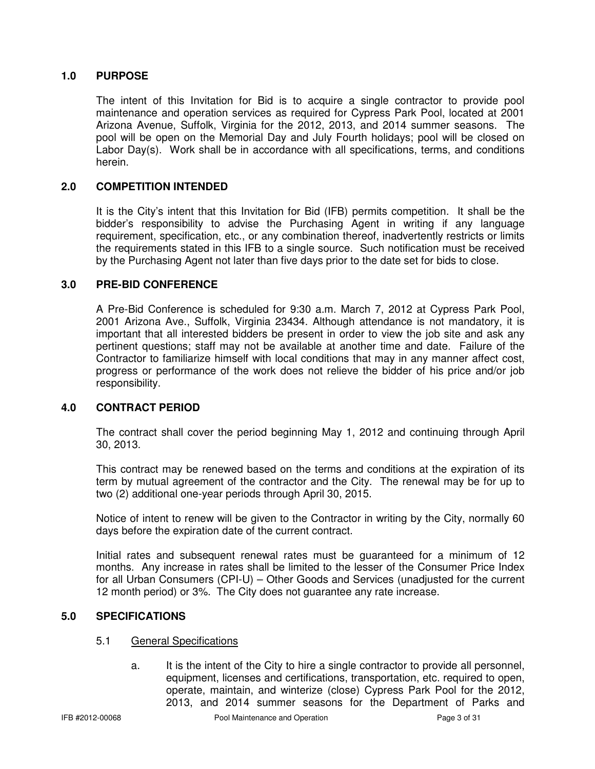## **1.0 PURPOSE**

The intent of this Invitation for Bid is to acquire a single contractor to provide pool maintenance and operation services as required for Cypress Park Pool, located at 2001 Arizona Avenue, Suffolk, Virginia for the 2012, 2013, and 2014 summer seasons. The pool will be open on the Memorial Day and July Fourth holidays; pool will be closed on Labor Day(s). Work shall be in accordance with all specifications, terms, and conditions herein.

## **2.0 COMPETITION INTENDED**

It is the City's intent that this Invitation for Bid (IFB) permits competition. It shall be the bidder's responsibility to advise the Purchasing Agent in writing if any language requirement, specification, etc., or any combination thereof, inadvertently restricts or limits the requirements stated in this IFB to a single source. Such notification must be received by the Purchasing Agent not later than five days prior to the date set for bids to close.

## **3.0 PRE-BID CONFERENCE**

A Pre-Bid Conference is scheduled for 9:30 a.m. March 7, 2012 at Cypress Park Pool, 2001 Arizona Ave., Suffolk, Virginia 23434. Although attendance is not mandatory, it is important that all interested bidders be present in order to view the job site and ask any pertinent questions; staff may not be available at another time and date. Failure of the Contractor to familiarize himself with local conditions that may in any manner affect cost, progress or performance of the work does not relieve the bidder of his price and/or job responsibility.

## **4.0 CONTRACT PERIOD**

The contract shall cover the period beginning May 1, 2012 and continuing through April 30, 2013.

This contract may be renewed based on the terms and conditions at the expiration of its term by mutual agreement of the contractor and the City. The renewal may be for up to two (2) additional one-year periods through April 30, 2015.

Notice of intent to renew will be given to the Contractor in writing by the City, normally 60 days before the expiration date of the current contract.

Initial rates and subsequent renewal rates must be guaranteed for a minimum of 12 months. Any increase in rates shall be limited to the lesser of the Consumer Price Index for all Urban Consumers (CPI-U) – Other Goods and Services (unadjusted for the current 12 month period) or 3%. The City does not guarantee any rate increase.

## **5.0 SPECIFICATIONS**

## 5.1 General Specifications

a. It is the intent of the City to hire a single contractor to provide all personnel, equipment, licenses and certifications, transportation, etc. required to open, operate, maintain, and winterize (close) Cypress Park Pool for the 2012, 2013, and 2014 summer seasons for the Department of Parks and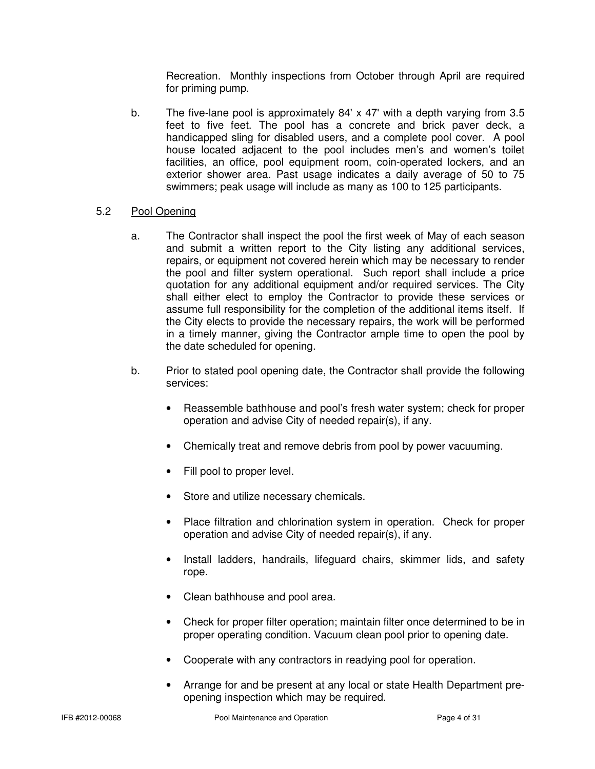Recreation. Monthly inspections from October through April are required for priming pump.

b. The five-lane pool is approximately 84' x 47' with a depth varying from 3.5 feet to five feet. The pool has a concrete and brick paver deck, a handicapped sling for disabled users, and a complete pool cover. A pool house located adjacent to the pool includes men's and women's toilet facilities, an office, pool equipment room, coin-operated lockers, and an exterior shower area. Past usage indicates a daily average of 50 to 75 swimmers; peak usage will include as many as 100 to 125 participants.

## 5.2 Pool Opening

- a. The Contractor shall inspect the pool the first week of May of each season and submit a written report to the City listing any additional services, repairs, or equipment not covered herein which may be necessary to render the pool and filter system operational. Such report shall include a price quotation for any additional equipment and/or required services. The City shall either elect to employ the Contractor to provide these services or assume full responsibility for the completion of the additional items itself. If the City elects to provide the necessary repairs, the work will be performed in a timely manner, giving the Contractor ample time to open the pool by the date scheduled for opening.
- b. Prior to stated pool opening date, the Contractor shall provide the following services:
	- Reassemble bathhouse and pool's fresh water system; check for proper operation and advise City of needed repair(s), if any.
	- Chemically treat and remove debris from pool by power vacuuming.
	- Fill pool to proper level.
	- Store and utilize necessary chemicals.
	- Place filtration and chlorination system in operation. Check for proper operation and advise City of needed repair(s), if any.
	- Install ladders, handrails, lifeguard chairs, skimmer lids, and safety rope.
	- Clean bathhouse and pool area.
	- Check for proper filter operation; maintain filter once determined to be in proper operating condition. Vacuum clean pool prior to opening date.
	- Cooperate with any contractors in readying pool for operation.
	- Arrange for and be present at any local or state Health Department preopening inspection which may be required.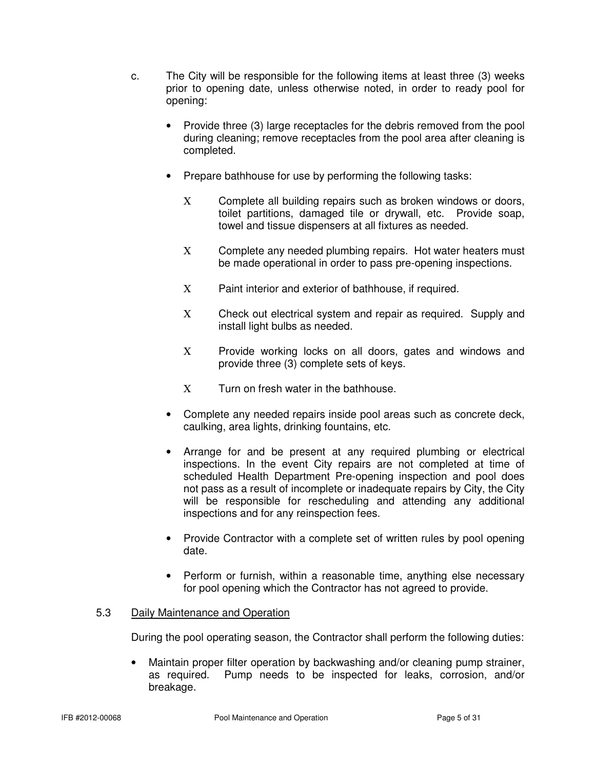- c. The City will be responsible for the following items at least three (3) weeks prior to opening date, unless otherwise noted, in order to ready pool for opening:
	- Provide three (3) large receptacles for the debris removed from the pool during cleaning; remove receptacles from the pool area after cleaning is completed.
	- Prepare bathhouse for use by performing the following tasks:
		- Χ Complete all building repairs such as broken windows or doors, toilet partitions, damaged tile or drywall, etc. Provide soap, towel and tissue dispensers at all fixtures as needed.
		- Χ Complete any needed plumbing repairs. Hot water heaters must be made operational in order to pass pre-opening inspections.
		- Χ Paint interior and exterior of bathhouse, if required.
		- Χ Check out electrical system and repair as required. Supply and install light bulbs as needed.
		- X Provide working locks on all doors, gates and windows and provide three (3) complete sets of keys.
		- Χ Turn on fresh water in the bathhouse.
	- Complete any needed repairs inside pool areas such as concrete deck, caulking, area lights, drinking fountains, etc.
	- Arrange for and be present at any required plumbing or electrical inspections. In the event City repairs are not completed at time of scheduled Health Department Pre-opening inspection and pool does not pass as a result of incomplete or inadequate repairs by City, the City will be responsible for rescheduling and attending any additional inspections and for any reinspection fees.
	- Provide Contractor with a complete set of written rules by pool opening date.
	- Perform or furnish, within a reasonable time, anything else necessary for pool opening which the Contractor has not agreed to provide.

## 5.3 Daily Maintenance and Operation

During the pool operating season, the Contractor shall perform the following duties:

• Maintain proper filter operation by backwashing and/or cleaning pump strainer, as required. Pump needs to be inspected for leaks, corrosion, and/or breakage.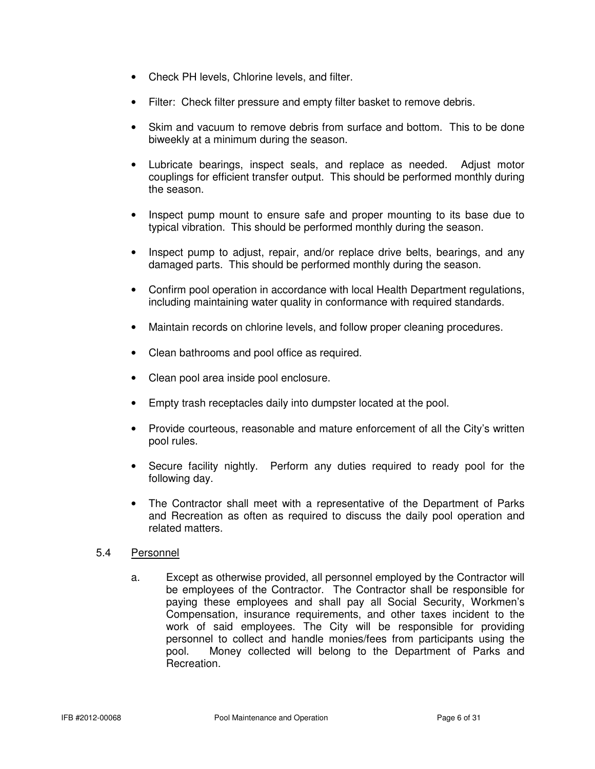- Check PH levels, Chlorine levels, and filter.
- Filter: Check filter pressure and empty filter basket to remove debris.
- Skim and vacuum to remove debris from surface and bottom. This to be done biweekly at a minimum during the season.
- Lubricate bearings, inspect seals, and replace as needed. Adjust motor couplings for efficient transfer output. This should be performed monthly during the season.
- Inspect pump mount to ensure safe and proper mounting to its base due to typical vibration. This should be performed monthly during the season.
- Inspect pump to adjust, repair, and/or replace drive belts, bearings, and any damaged parts. This should be performed monthly during the season.
- Confirm pool operation in accordance with local Health Department regulations, including maintaining water quality in conformance with required standards.
- Maintain records on chlorine levels, and follow proper cleaning procedures.
- Clean bathrooms and pool office as required.
- Clean pool area inside pool enclosure.
- Empty trash receptacles daily into dumpster located at the pool.
- Provide courteous, reasonable and mature enforcement of all the City's written pool rules.
- Secure facility nightly. Perform any duties required to ready pool for the following day.
- The Contractor shall meet with a representative of the Department of Parks and Recreation as often as required to discuss the daily pool operation and related matters.

## 5.4 Personnel

a. Except as otherwise provided, all personnel employed by the Contractor will be employees of the Contractor. The Contractor shall be responsible for paying these employees and shall pay all Social Security, Workmen's Compensation, insurance requirements, and other taxes incident to the work of said employees. The City will be responsible for providing personnel to collect and handle monies/fees from participants using the pool. Money collected will belong to the Department of Parks and Recreation.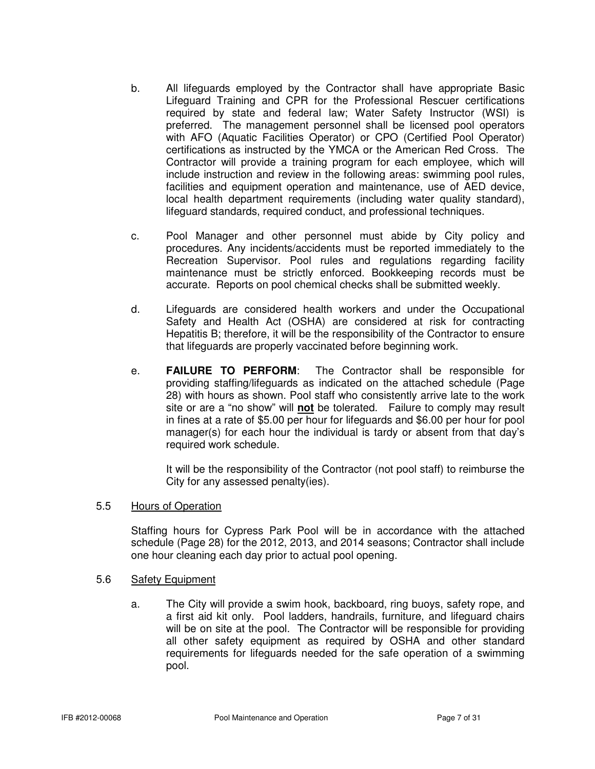- b. All lifeguards employed by the Contractor shall have appropriate Basic Lifeguard Training and CPR for the Professional Rescuer certifications required by state and federal law; Water Safety Instructor (WSI) is preferred. The management personnel shall be licensed pool operators with AFO (Aquatic Facilities Operator) or CPO (Certified Pool Operator) certifications as instructed by the YMCA or the American Red Cross. The Contractor will provide a training program for each employee, which will include instruction and review in the following areas: swimming pool rules, facilities and equipment operation and maintenance, use of AED device, local health department requirements (including water quality standard), lifeguard standards, required conduct, and professional techniques.
- c. Pool Manager and other personnel must abide by City policy and procedures. Any incidents/accidents must be reported immediately to the Recreation Supervisor. Pool rules and regulations regarding facility maintenance must be strictly enforced. Bookkeeping records must be accurate. Reports on pool chemical checks shall be submitted weekly.
- d. Lifeguards are considered health workers and under the Occupational Safety and Health Act (OSHA) are considered at risk for contracting Hepatitis B; therefore, it will be the responsibility of the Contractor to ensure that lifeguards are properly vaccinated before beginning work.
- e. **FAILURE TO PERFORM**: The Contractor shall be responsible for providing staffing/lifeguards as indicated on the attached schedule (Page 28) with hours as shown. Pool staff who consistently arrive late to the work site or are a "no show" will **not** be tolerated. Failure to comply may result in fines at a rate of \$5.00 per hour for lifeguards and \$6.00 per hour for pool manager(s) for each hour the individual is tardy or absent from that day's required work schedule.

 It will be the responsibility of the Contractor (not pool staff) to reimburse the City for any assessed penalty(ies).

## 5.5 Hours of Operation

Staffing hours for Cypress Park Pool will be in accordance with the attached schedule (Page 28) for the 2012, 2013, and 2014 seasons; Contractor shall include one hour cleaning each day prior to actual pool opening.

## 5.6 Safety Equipment

a. The City will provide a swim hook, backboard, ring buoys, safety rope, and a first aid kit only. Pool ladders, handrails, furniture, and lifeguard chairs will be on site at the pool. The Contractor will be responsible for providing all other safety equipment as required by OSHA and other standard requirements for lifeguards needed for the safe operation of a swimming pool.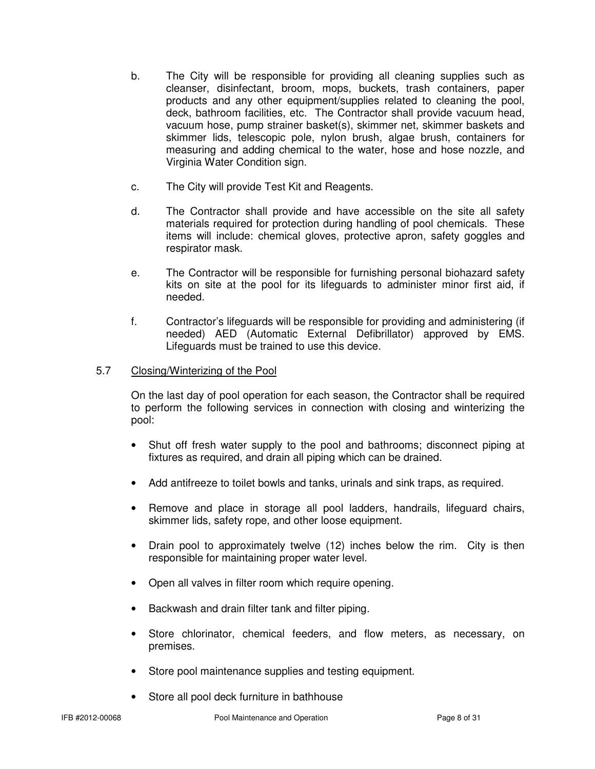- b. The City will be responsible for providing all cleaning supplies such as cleanser, disinfectant, broom, mops, buckets, trash containers, paper products and any other equipment/supplies related to cleaning the pool, deck, bathroom facilities, etc. The Contractor shall provide vacuum head, vacuum hose, pump strainer basket(s), skimmer net, skimmer baskets and skimmer lids, telescopic pole, nylon brush, algae brush, containers for measuring and adding chemical to the water, hose and hose nozzle, and Virginia Water Condition sign.
- c. The City will provide Test Kit and Reagents.
- d. The Contractor shall provide and have accessible on the site all safety materials required for protection during handling of pool chemicals. These items will include: chemical gloves, protective apron, safety goggles and respirator mask.
- e. The Contractor will be responsible for furnishing personal biohazard safety kits on site at the pool for its lifeguards to administer minor first aid, if needed.
- f. Contractor's lifeguards will be responsible for providing and administering (if needed) AED (Automatic External Defibrillator) approved by EMS. Lifeguards must be trained to use this device.

## 5.7 Closing/Winterizing of the Pool

On the last day of pool operation for each season, the Contractor shall be required to perform the following services in connection with closing and winterizing the pool:

- Shut off fresh water supply to the pool and bathrooms; disconnect piping at fixtures as required, and drain all piping which can be drained.
- Add antifreeze to toilet bowls and tanks, urinals and sink traps, as required.
- Remove and place in storage all pool ladders, handrails, lifeguard chairs, skimmer lids, safety rope, and other loose equipment.
- Drain pool to approximately twelve (12) inches below the rim. City is then responsible for maintaining proper water level.
- Open all valves in filter room which require opening.
- Backwash and drain filter tank and filter piping.
- Store chlorinator, chemical feeders, and flow meters, as necessary, on premises.
- Store pool maintenance supplies and testing equipment.
- Store all pool deck furniture in bathhouse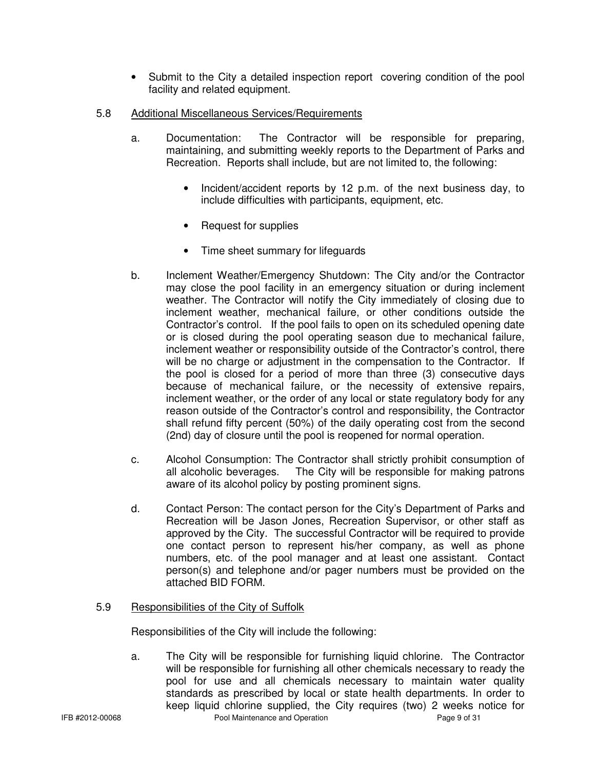- Submit to the City a detailed inspection report covering condition of the pool facility and related equipment.
- 5.8 Additional Miscellaneous Services/Requirements
	- a. Documentation: The Contractor will be responsible for preparing, maintaining, and submitting weekly reports to the Department of Parks and Recreation. Reports shall include, but are not limited to, the following:
		- Incident/accident reports by 12 p.m. of the next business day, to include difficulties with participants, equipment, etc.
		- Request for supplies
		- Time sheet summary for lifeguards
	- b. Inclement Weather/Emergency Shutdown: The City and/or the Contractor may close the pool facility in an emergency situation or during inclement weather. The Contractor will notify the City immediately of closing due to inclement weather, mechanical failure, or other conditions outside the Contractor's control. If the pool fails to open on its scheduled opening date or is closed during the pool operating season due to mechanical failure, inclement weather or responsibility outside of the Contractor's control, there will be no charge or adjustment in the compensation to the Contractor. If the pool is closed for a period of more than three (3) consecutive days because of mechanical failure, or the necessity of extensive repairs, inclement weather, or the order of any local or state regulatory body for any reason outside of the Contractor's control and responsibility, the Contractor shall refund fifty percent (50%) of the daily operating cost from the second (2nd) day of closure until the pool is reopened for normal operation.
	- c. Alcohol Consumption: The Contractor shall strictly prohibit consumption of all alcoholic beverages. The City will be responsible for making patrons aware of its alcohol policy by posting prominent signs.
	- d. Contact Person: The contact person for the City's Department of Parks and Recreation will be Jason Jones, Recreation Supervisor, or other staff as approved by the City. The successful Contractor will be required to provide one contact person to represent his/her company, as well as phone numbers, etc. of the pool manager and at least one assistant. Contact person(s) and telephone and/or pager numbers must be provided on the attached BID FORM.

## 5.9 Responsibilities of the City of Suffolk

Responsibilities of the City will include the following:

IFB #2012-00068 Pool Maintenance and Operation Page 9 of 31 a. The City will be responsible for furnishing liquid chlorine. The Contractor will be responsible for furnishing all other chemicals necessary to ready the pool for use and all chemicals necessary to maintain water quality standards as prescribed by local or state health departments. In order to keep liquid chlorine supplied, the City requires (two) 2 weeks notice for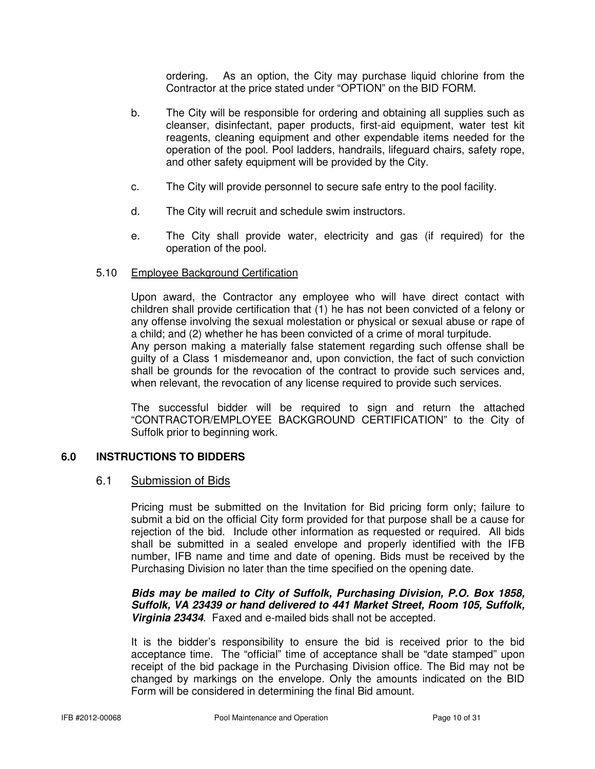ordering. As an option, the City may purchase liquid chlorine from the Contractor at the price stated under "OPTION" on the BID FORM.

- b. The City will be responsible for ordering and obtaining all supplies such as cleanser, disinfectant, paper products, first-aid equipment, water test kit reagents, cleaning equipment and other expendable items needed for the operation of the pool. Pool ladders, handrails, lifeguard chairs, safety rope, and other safety equipment will be provided by the City.
- c. The City will provide personnel to secure safe entry to the pool facility.
- d. The City will recruit and schedule swim instructors.
- e. The City shall provide water, electricity and gas (if required) for the operation of the pool.

## 5.10 Employee Background Certification

Upon award, the Contractor any employee who will have direct contact with children shall provide certification that (1) he has not been convicted of a felony or any offense involving the sexual molestation or physical or sexual abuse or rape of a child; and (2) whether he has been convicted of a crime of moral turpitude. Any person making a materially false statement regarding such offense shall be guilty of a Class 1 misdemeanor and, upon conviction, the fact of such conviction shall be grounds for the revocation of the contract to provide such services and, when relevant, the revocation of any license required to provide such services.

The successful bidder will be required to sign and return the attached "CONTRACTOR/EMPLOYEE BACKGROUND CERTIFICATION" to the City of Suffolk prior to beginning work.

## **6.0 INSTRUCTIONS TO BIDDERS**

## 6.1 Submission of Bids

Pricing must be submitted on the Invitation for Bid pricing form only; failure to submit a bid on the official City form provided for that purpose shall be a cause for rejection of the bid. Include other information as requested or required. All bids shall be submitted in a sealed envelope and properly identified with the IFB number, IFB name and time and date of opening. Bids must be received by the Purchasing Division no later than the time specified on the opening date.

**Bids may be mailed to City of Suffolk, Purchasing Division, P.O. Box 1858, Suffolk, VA 23439 or hand delivered to 441 Market Street, Room 105, Suffolk, Virginia 23434**. Faxed and e-mailed bids shall not be accepted.

It is the bidder's responsibility to ensure the bid is received prior to the bid acceptance time. The "official" time of acceptance shall be "date stamped" upon receipt of the bid package in the Purchasing Division office. The Bid may not be changed by markings on the envelope. Only the amounts indicated on the BID Form will be considered in determining the final Bid amount.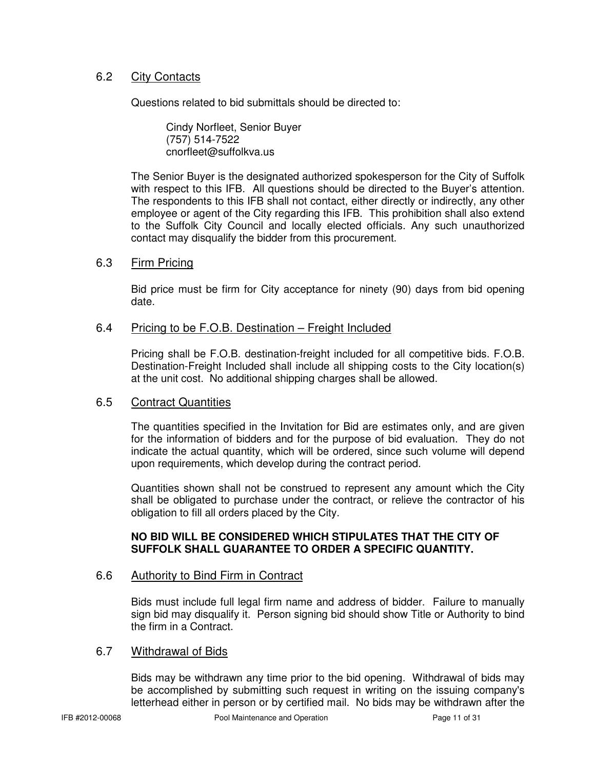## 6.2 City Contacts

Questions related to bid submittals should be directed to:

 Cindy Norfleet, Senior Buyer (757) 514-7522 cnorfleet@suffolkva.us

The Senior Buyer is the designated authorized spokesperson for the City of Suffolk with respect to this IFB. All questions should be directed to the Buyer's attention. The respondents to this IFB shall not contact, either directly or indirectly, any other employee or agent of the City regarding this IFB. This prohibition shall also extend to the Suffolk City Council and locally elected officials. Any such unauthorized contact may disqualify the bidder from this procurement.

## 6.3 Firm Pricing

Bid price must be firm for City acceptance for ninety (90) days from bid opening date.

## 6.4 Pricing to be F.O.B. Destination – Freight Included

Pricing shall be F.O.B. destination-freight included for all competitive bids. F.O.B. Destination-Freight Included shall include all shipping costs to the City location(s) at the unit cost. No additional shipping charges shall be allowed.

## 6.5 Contract Quantities

The quantities specified in the Invitation for Bid are estimates only, and are given for the information of bidders and for the purpose of bid evaluation. They do not indicate the actual quantity, which will be ordered, since such volume will depend upon requirements, which develop during the contract period.

Quantities shown shall not be construed to represent any amount which the City shall be obligated to purchase under the contract, or relieve the contractor of his obligation to fill all orders placed by the City.

## **NO BID WILL BE CONSIDERED WHICH STIPULATES THAT THE CITY OF SUFFOLK SHALL GUARANTEE TO ORDER A SPECIFIC QUANTITY.**

## 6.6 Authority to Bind Firm in Contract

Bids must include full legal firm name and address of bidder. Failure to manually sign bid may disqualify it. Person signing bid should show Title or Authority to bind the firm in a Contract.

## 6.7 Withdrawal of Bids

Bids may be withdrawn any time prior to the bid opening. Withdrawal of bids may be accomplished by submitting such request in writing on the issuing company's letterhead either in person or by certified mail. No bids may be withdrawn after the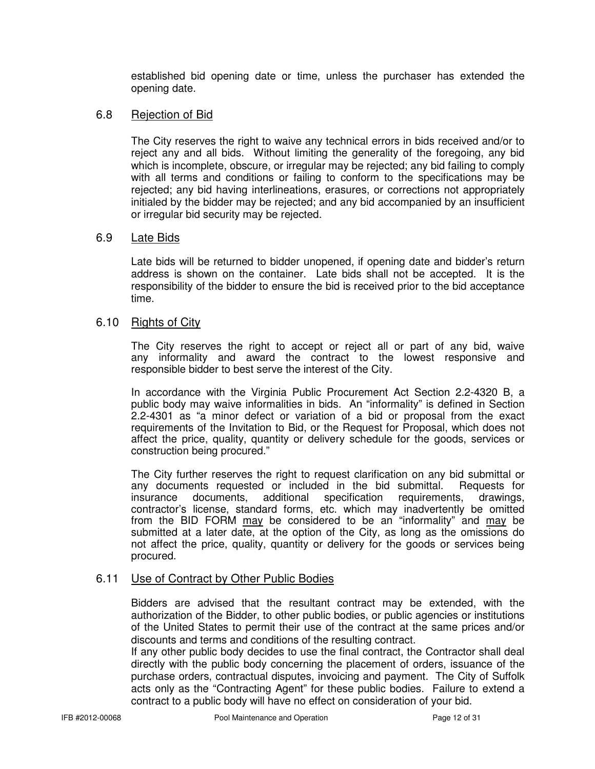established bid opening date or time, unless the purchaser has extended the opening date.

## 6.8 Rejection of Bid

The City reserves the right to waive any technical errors in bids received and/or to reject any and all bids. Without limiting the generality of the foregoing, any bid which is incomplete, obscure, or irregular may be rejected; any bid failing to comply with all terms and conditions or failing to conform to the specifications may be rejected; any bid having interlineations, erasures, or corrections not appropriately initialed by the bidder may be rejected; and any bid accompanied by an insufficient or irregular bid security may be rejected.

## 6.9 Late Bids

Late bids will be returned to bidder unopened, if opening date and bidder's return address is shown on the container. Late bids shall not be accepted. It is the responsibility of the bidder to ensure the bid is received prior to the bid acceptance time.

## 6.10 Rights of City

 The City reserves the right to accept or reject all or part of any bid, waive any informality and award the contract to the lowest responsive and responsible bidder to best serve the interest of the City.

 In accordance with the Virginia Public Procurement Act Section 2.2-4320 B, a public body may waive informalities in bids. An "informality" is defined in Section 2.2-4301 as "a minor defect or variation of a bid or proposal from the exact requirements of the Invitation to Bid, or the Request for Proposal, which does not affect the price, quality, quantity or delivery schedule for the goods, services or construction being procured."

The City further reserves the right to request clarification on any bid submittal or any documents requested or included in the bid submittal. Requests for any documents requested or included in the bid submittal.<br>
insurance documents, additional specification requirement insurance documents, additional specification requirements, drawings, contractor's license, standard forms, etc. which may inadvertently be omitted from the BID FORM may be considered to be an "informality" and may be submitted at a later date, at the option of the City, as long as the omissions do not affect the price, quality, quantity or delivery for the goods or services being procured.

## 6.11 Use of Contract by Other Public Bodies

Bidders are advised that the resultant contract may be extended, with the authorization of the Bidder, to other public bodies, or public agencies or institutions of the United States to permit their use of the contract at the same prices and/or discounts and terms and conditions of the resulting contract.

If any other public body decides to use the final contract, the Contractor shall deal directly with the public body concerning the placement of orders, issuance of the purchase orders, contractual disputes, invoicing and payment. The City of Suffolk acts only as the "Contracting Agent" for these public bodies. Failure to extend a contract to a public body will have no effect on consideration of your bid.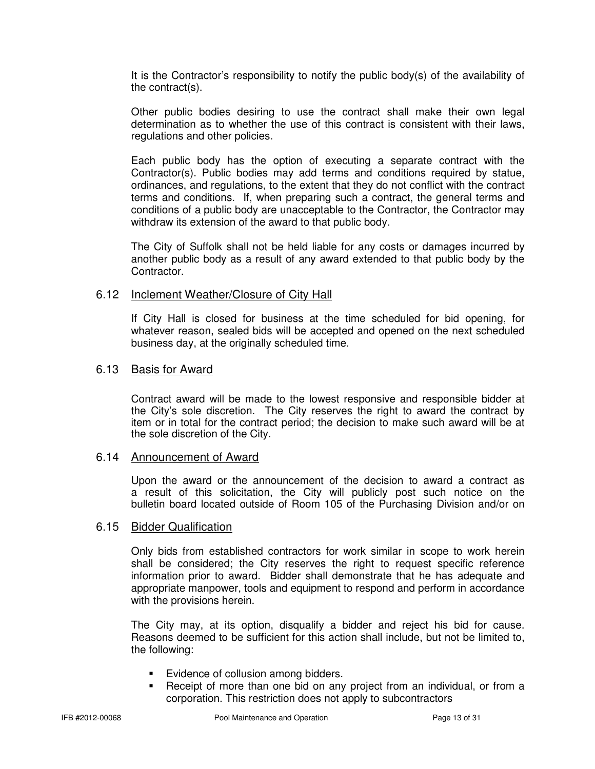It is the Contractor's responsibility to notify the public body(s) of the availability of the contract(s).

Other public bodies desiring to use the contract shall make their own legal determination as to whether the use of this contract is consistent with their laws, regulations and other policies.

Each public body has the option of executing a separate contract with the Contractor(s). Public bodies may add terms and conditions required by statue, ordinances, and regulations, to the extent that they do not conflict with the contract terms and conditions. If, when preparing such a contract, the general terms and conditions of a public body are unacceptable to the Contractor, the Contractor may withdraw its extension of the award to that public body.

The City of Suffolk shall not be held liable for any costs or damages incurred by another public body as a result of any award extended to that public body by the Contractor.

## 6.12 Inclement Weather/Closure of City Hall

If City Hall is closed for business at the time scheduled for bid opening, for whatever reason, sealed bids will be accepted and opened on the next scheduled business day, at the originally scheduled time.

## 6.13 Basis for Award

 Contract award will be made to the lowest responsive and responsible bidder at the City's sole discretion. The City reserves the right to award the contract by item or in total for the contract period; the decision to make such award will be at the sole discretion of the City.

## 6.14 Announcement of Award

 Upon the award or the announcement of the decision to award a contract as a result of this solicitation, the City will publicly post such notice on the bulletin board located outside of Room 105 of the Purchasing Division and/or on

## 6.15 Bidder Qualification

Only bids from established contractors for work similar in scope to work herein shall be considered; the City reserves the right to request specific reference information prior to award. Bidder shall demonstrate that he has adequate and appropriate manpower, tools and equipment to respond and perform in accordance with the provisions herein.

The City may, at its option, disqualify a bidder and reject his bid for cause. Reasons deemed to be sufficient for this action shall include, but not be limited to, the following:

- **Evidence of collusion among bidders.**
- Receipt of more than one bid on any project from an individual, or from a corporation. This restriction does not apply to subcontractors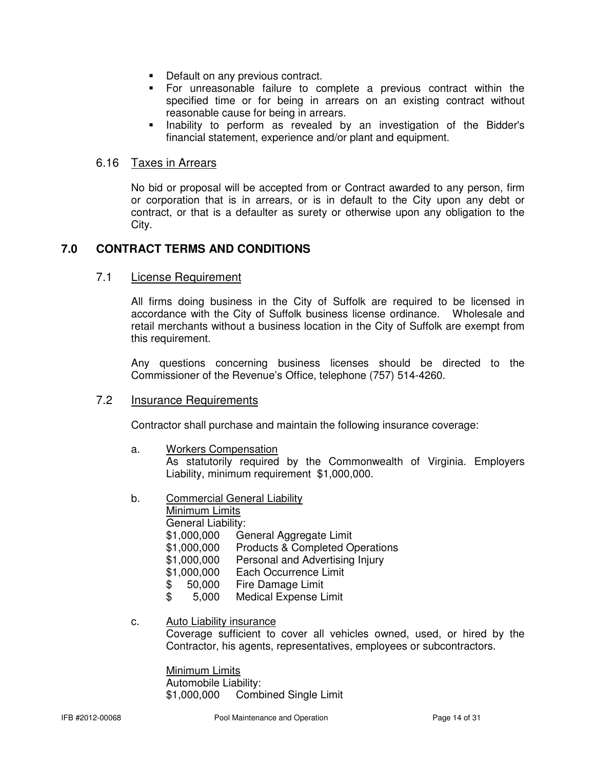- **Default on any previous contract.**
- For unreasonable failure to complete a previous contract within the specified time or for being in arrears on an existing contract without reasonable cause for being in arrears.
- **Inability to perform as revealed by an investigation of the Bidder's** financial statement, experience and/or plant and equipment.

## 6.16 Taxes in Arrears

No bid or proposal will be accepted from or Contract awarded to any person, firm or corporation that is in arrears, or is in default to the City upon any debt or contract, or that is a defaulter as surety or otherwise upon any obligation to the City.

## **7.0 CONTRACT TERMS AND CONDITIONS**

## 7.1 License Requirement

All firms doing business in the City of Suffolk are required to be licensed in accordance with the City of Suffolk business license ordinance. Wholesale and retail merchants without a business location in the City of Suffolk are exempt from this requirement.

Any questions concerning business licenses should be directed to the Commissioner of the Revenue's Office, telephone (757) 514-4260.

## 7.2 Insurance Requirements

Contractor shall purchase and maintain the following insurance coverage:

a. Workers Compensation

As statutorily required by the Commonwealth of Virginia. Employers Liability, minimum requirement \$1,000,000.

b. Commercial General Liability

Minimum Limits

General Liability:

- \$1,000,000 General Aggregate Limit
- \$1,000,000 Products & Completed Operations
- \$1,000,000 Personal and Advertising Injury
- \$1,000,000 Each Occurrence Limit
- \$ 50,000 Fire Damage Limit
- \$ 5,000 Medical Expense Limit

## c. Auto Liability insurance

Coverage sufficient to cover all vehicles owned, used, or hired by the Contractor, his agents, representatives, employees or subcontractors.

Minimum Limits Automobile Liability: \$1,000,000 Combined Single Limit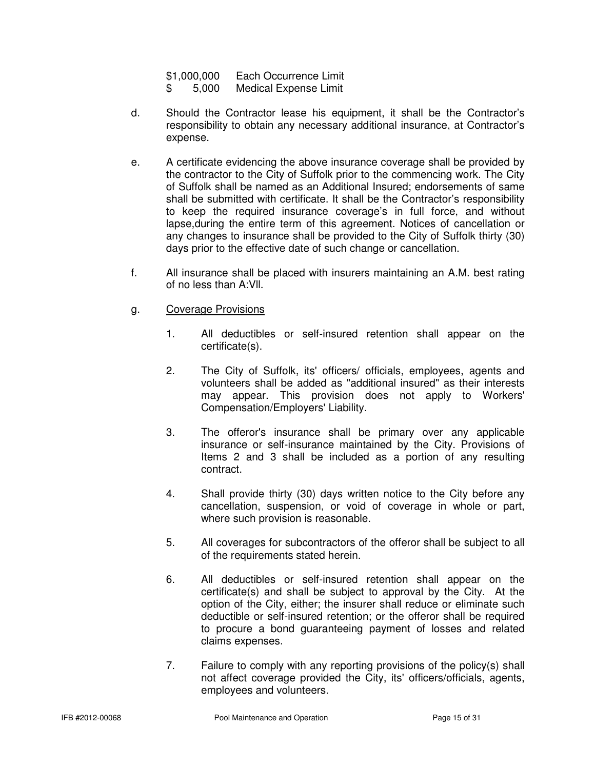- \$ 5,000 Medical Expense Limit
- d. Should the Contractor lease his equipment, it shall be the Contractor's responsibility to obtain any necessary additional insurance, at Contractor's expense.
- e. A certificate evidencing the above insurance coverage shall be provided by the contractor to the City of Suffolk prior to the commencing work. The City of Suffolk shall be named as an Additional Insured; endorsements of same shall be submitted with certificate. It shall be the Contractor's responsibility to keep the required insurance coverage's in full force, and without lapse,during the entire term of this agreement. Notices of cancellation or any changes to insurance shall be provided to the City of Suffolk thirty (30) days prior to the effective date of such change or cancellation.
- f. All insurance shall be placed with insurers maintaining an A.M. best rating of no less than A:Vll.
- g. Coverage Provisions
	- 1. All deductibles or self-insured retention shall appear on the certificate(s).
	- 2. The City of Suffolk, its' officers/ officials, employees, agents and volunteers shall be added as "additional insured" as their interests may appear. This provision does not apply to Workers' Compensation/Employers' Liability.
	- 3. The offeror's insurance shall be primary over any applicable insurance or self-insurance maintained by the City. Provisions of Items 2 and 3 shall be included as a portion of any resulting contract.
	- 4. Shall provide thirty (30) days written notice to the City before any cancellation, suspension, or void of coverage in whole or part, where such provision is reasonable.
	- 5. All coverages for subcontractors of the offeror shall be subject to all of the requirements stated herein.
	- 6. All deductibles or self-insured retention shall appear on the certificate(s) and shall be subject to approval by the City. At the option of the City, either; the insurer shall reduce or eliminate such deductible or self-insured retention; or the offeror shall be required to procure a bond guaranteeing payment of losses and related claims expenses.
	- 7. Failure to comply with any reporting provisions of the policy(s) shall not affect coverage provided the City, its' officers/officials, agents, employees and volunteers.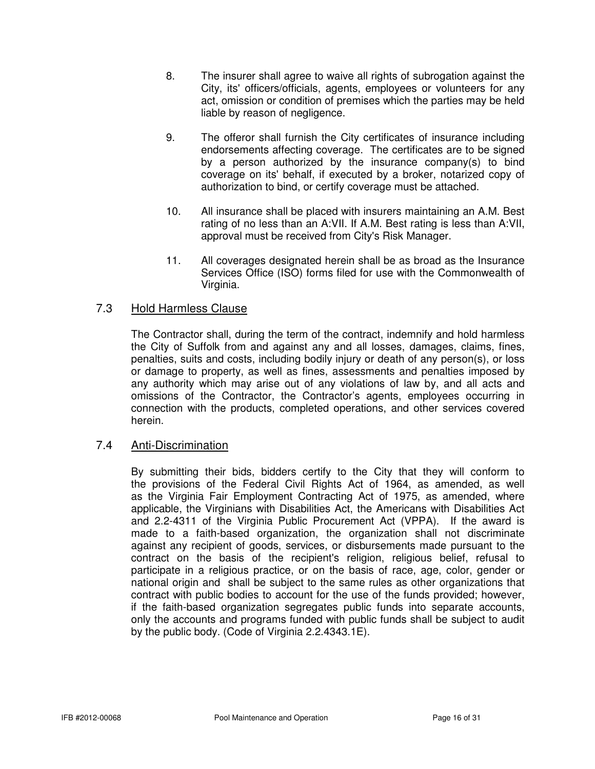- 8. The insurer shall agree to waive all rights of subrogation against the City, its' officers/officials, agents, employees or volunteers for any act, omission or condition of premises which the parties may be held liable by reason of negligence.
- 9. The offeror shall furnish the City certificates of insurance including endorsements affecting coverage. The certificates are to be signed by a person authorized by the insurance company(s) to bind coverage on its' behalf, if executed by a broker, notarized copy of authorization to bind, or certify coverage must be attached.
- 10. All insurance shall be placed with insurers maintaining an A.M. Best rating of no less than an A:VII. If A.M. Best rating is less than A:VII, approval must be received from City's Risk Manager.
- 11. All coverages designated herein shall be as broad as the Insurance Services Office (ISO) forms filed for use with the Commonwealth of Virginia.

## 7.3 Hold Harmless Clause

The Contractor shall, during the term of the contract, indemnify and hold harmless the City of Suffolk from and against any and all losses, damages, claims, fines, penalties, suits and costs, including bodily injury or death of any person(s), or loss or damage to property, as well as fines, assessments and penalties imposed by any authority which may arise out of any violations of law by, and all acts and omissions of the Contractor, the Contractor's agents, employees occurring in connection with the products, completed operations, and other services covered herein.

## 7.4 Anti-Discrimination

 By submitting their bids, bidders certify to the City that they will conform to the provisions of the Federal Civil Rights Act of 1964, as amended, as well as the Virginia Fair Employment Contracting Act of 1975, as amended, where applicable, the Virginians with Disabilities Act, the Americans with Disabilities Act and 2.2-4311 of the Virginia Public Procurement Act (VPPA). If the award is made to a faith-based organization, the organization shall not discriminate against any recipient of goods, services, or disbursements made pursuant to the contract on the basis of the recipient's religion, religious belief, refusal to participate in a religious practice, or on the basis of race, age, color, gender or national origin and shall be subject to the same rules as other organizations that contract with public bodies to account for the use of the funds provided; however, if the faith-based organization segregates public funds into separate accounts, only the accounts and programs funded with public funds shall be subject to audit by the public body. (Code of Virginia 2.2.4343.1E).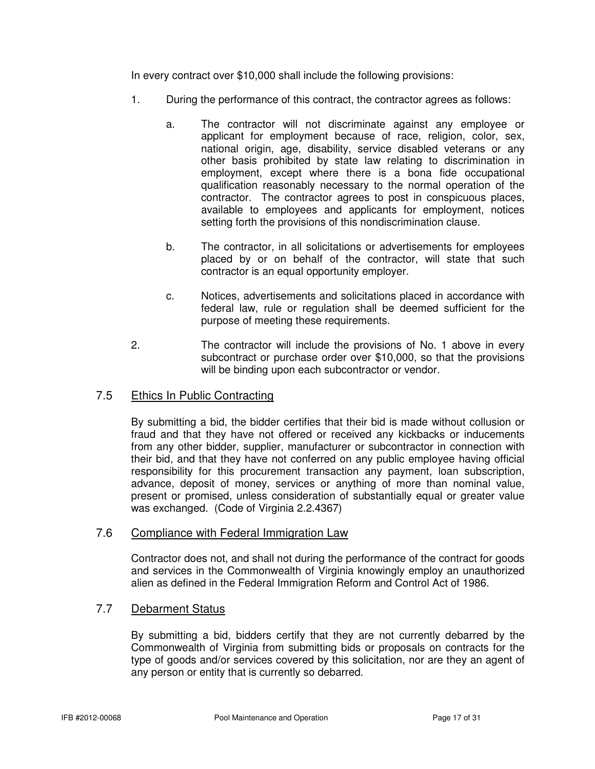In every contract over \$10,000 shall include the following provisions:

- 1. During the performance of this contract, the contractor agrees as follows:
	- a. The contractor will not discriminate against any employee or applicant for employment because of race, religion, color, sex, national origin, age, disability, service disabled veterans or any other basis prohibited by state law relating to discrimination in employment, except where there is a bona fide occupational qualification reasonably necessary to the normal operation of the contractor. The contractor agrees to post in conspicuous places, available to employees and applicants for employment, notices setting forth the provisions of this nondiscrimination clause.
	- b. The contractor, in all solicitations or advertisements for employees placed by or on behalf of the contractor, will state that such contractor is an equal opportunity employer.
	- c. Notices, advertisements and solicitations placed in accordance with federal law, rule or regulation shall be deemed sufficient for the purpose of meeting these requirements.
- 2. The contractor will include the provisions of No. 1 above in every subcontract or purchase order over \$10,000, so that the provisions will be binding upon each subcontractor or vendor.

## 7.5 Ethics In Public Contracting

By submitting a bid, the bidder certifies that their bid is made without collusion or fraud and that they have not offered or received any kickbacks or inducements from any other bidder, supplier, manufacturer or subcontractor in connection with their bid, and that they have not conferred on any public employee having official responsibility for this procurement transaction any payment, loan subscription, advance, deposit of money, services or anything of more than nominal value, present or promised, unless consideration of substantially equal or greater value was exchanged. (Code of Virginia 2.2.4367)

## 7.6 Compliance with Federal Immigration Law

Contractor does not, and shall not during the performance of the contract for goods and services in the Commonwealth of Virginia knowingly employ an unauthorized alien as defined in the Federal Immigration Reform and Control Act of 1986.

## 7.7 Debarment Status

By submitting a bid, bidders certify that they are not currently debarred by the Commonwealth of Virginia from submitting bids or proposals on contracts for the type of goods and/or services covered by this solicitation, nor are they an agent of any person or entity that is currently so debarred.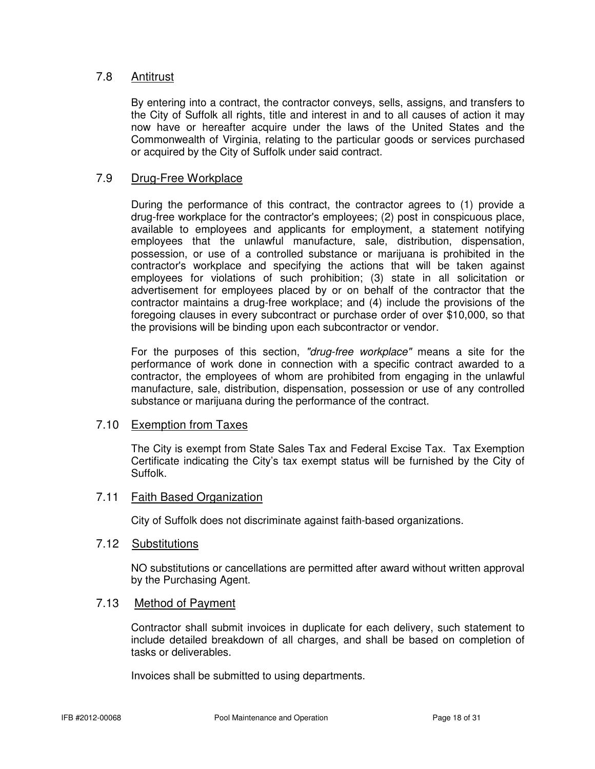## 7.8 Antitrust

By entering into a contract, the contractor conveys, sells, assigns, and transfers to the City of Suffolk all rights, title and interest in and to all causes of action it may now have or hereafter acquire under the laws of the United States and the Commonwealth of Virginia, relating to the particular goods or services purchased or acquired by the City of Suffolk under said contract.

## 7.9 Drug-Free Workplace

During the performance of this contract, the contractor agrees to (1) provide a drug-free workplace for the contractor's employees; (2) post in conspicuous place, available to employees and applicants for employment, a statement notifying employees that the unlawful manufacture, sale, distribution, dispensation, possession, or use of a controlled substance or marijuana is prohibited in the contractor's workplace and specifying the actions that will be taken against employees for violations of such prohibition; (3) state in all solicitation or advertisement for employees placed by or on behalf of the contractor that the contractor maintains a drug-free workplace; and (4) include the provisions of the foregoing clauses in every subcontract or purchase order of over \$10,000, so that the provisions will be binding upon each subcontractor or vendor.

For the purposes of this section, "drug-free workplace" means a site for the performance of work done in connection with a specific contract awarded to a contractor, the employees of whom are prohibited from engaging in the unlawful manufacture, sale, distribution, dispensation, possession or use of any controlled substance or marijuana during the performance of the contract.

## 7.10 Exemption from Taxes

The City is exempt from State Sales Tax and Federal Excise Tax. Tax Exemption Certificate indicating the City's tax exempt status will be furnished by the City of Suffolk.

## 7.11 Faith Based Organization

City of Suffolk does not discriminate against faith-based organizations.

## 7.12 Substitutions

NO substitutions or cancellations are permitted after award without written approval by the Purchasing Agent.

## 7.13 Method of Payment

Contractor shall submit invoices in duplicate for each delivery, such statement to include detailed breakdown of all charges, and shall be based on completion of tasks or deliverables.

Invoices shall be submitted to using departments.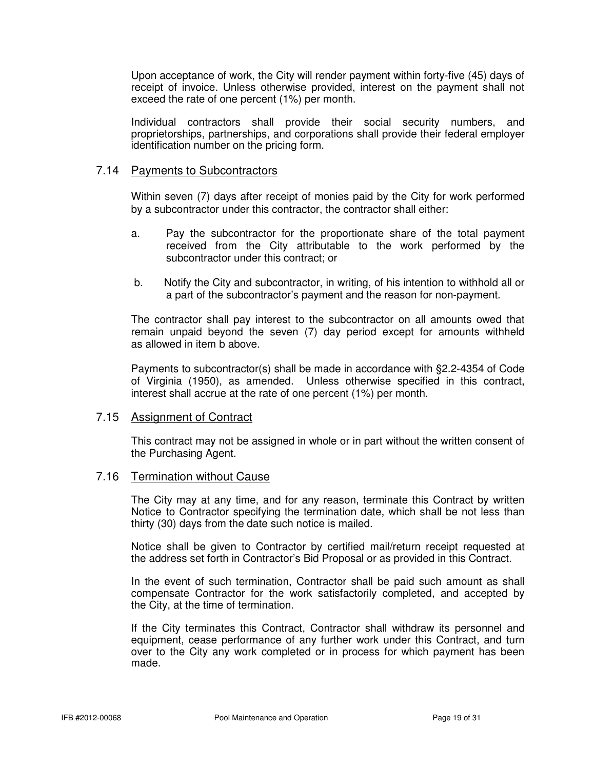Upon acceptance of work, the City will render payment within forty-five (45) days of receipt of invoice. Unless otherwise provided, interest on the payment shall not exceed the rate of one percent (1%) per month.

 Individual contractors shall provide their social security numbers, and proprietorships, partnerships, and corporations shall provide their federal employer identification number on the pricing form.

## 7.14 Payments to Subcontractors

Within seven (7) days after receipt of monies paid by the City for work performed by a subcontractor under this contractor, the contractor shall either:

- a. Pay the subcontractor for the proportionate share of the total payment received from the City attributable to the work performed by the subcontractor under this contract; or
- b. Notify the City and subcontractor, in writing, of his intention to withhold all or a part of the subcontractor's payment and the reason for non-payment.

The contractor shall pay interest to the subcontractor on all amounts owed that remain unpaid beyond the seven (7) day period except for amounts withheld as allowed in item b above.

Payments to subcontractor(s) shall be made in accordance with §2.2-4354 of Code of Virginia (1950), as amended. Unless otherwise specified in this contract, interest shall accrue at the rate of one percent (1%) per month.

## 7.15 Assignment of Contract

This contract may not be assigned in whole or in part without the written consent of the Purchasing Agent.

## 7.16 Termination without Cause

 The City may at any time, and for any reason, terminate this Contract by written Notice to Contractor specifying the termination date, which shall be not less than thirty (30) days from the date such notice is mailed.

 Notice shall be given to Contractor by certified mail/return receipt requested at the address set forth in Contractor's Bid Proposal or as provided in this Contract.

 In the event of such termination, Contractor shall be paid such amount as shall compensate Contractor for the work satisfactorily completed, and accepted by the City, at the time of termination.

 If the City terminates this Contract, Contractor shall withdraw its personnel and equipment, cease performance of any further work under this Contract, and turn over to the City any work completed or in process for which payment has been made.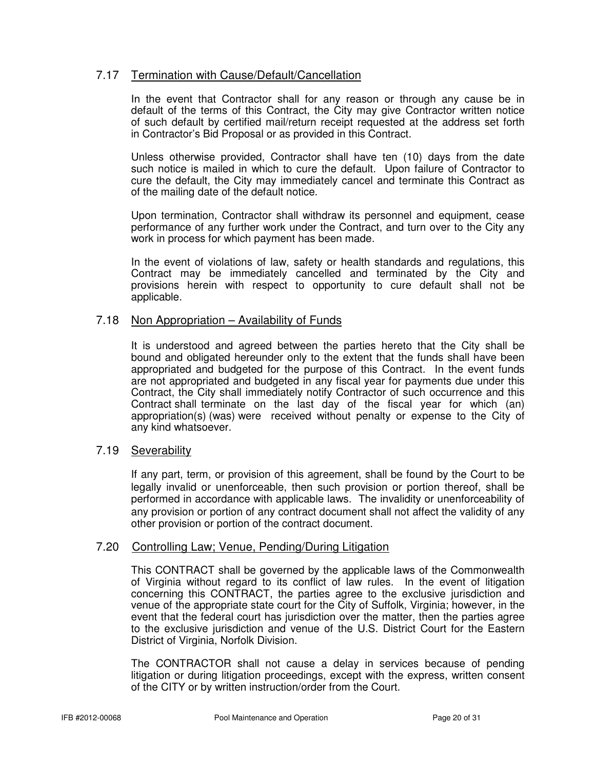## 7.17 Termination with Cause/Default/Cancellation

 In the event that Contractor shall for any reason or through any cause be in default of the terms of this Contract, the City may give Contractor written notice of such default by certified mail/return receipt requested at the address set forth in Contractor's Bid Proposal or as provided in this Contract.

 Unless otherwise provided, Contractor shall have ten (10) days from the date such notice is mailed in which to cure the default. Upon failure of Contractor to cure the default, the City may immediately cancel and terminate this Contract as of the mailing date of the default notice.

 Upon termination, Contractor shall withdraw its personnel and equipment, cease performance of any further work under the Contract, and turn over to the City any work in process for which payment has been made.

 In the event of violations of law, safety or health standards and regulations, this Contract may be immediately cancelled and terminated by the City and provisions herein with respect to opportunity to cure default shall not be applicable.

## 7.18 Non Appropriation – Availability of Funds

 It is understood and agreed between the parties hereto that the City shall be bound and obligated hereunder only to the extent that the funds shall have been appropriated and budgeted for the purpose of this Contract. In the event funds are not appropriated and budgeted in any fiscal year for payments due under this Contract, the City shall immediately notify Contractor of such occurrence and this Contract shall terminate on the last day of the fiscal year for which (an) appropriation(s) (was) were received without penalty or expense to the City of any kind whatsoever.

## 7.19 Severability

If any part, term, or provision of this agreement, shall be found by the Court to be legally invalid or unenforceable, then such provision or portion thereof, shall be performed in accordance with applicable laws. The invalidity or unenforceability of any provision or portion of any contract document shall not affect the validity of any other provision or portion of the contract document.

## 7.20 Controlling Law; Venue, Pending/During Litigation

 This CONTRACT shall be governed by the applicable laws of the Commonwealth of Virginia without regard to its conflict of law rules. In the event of litigation concerning this CONTRACT, the parties agree to the exclusive jurisdiction and venue of the appropriate state court for the City of Suffolk, Virginia; however, in the event that the federal court has jurisdiction over the matter, then the parties agree to the exclusive jurisdiction and venue of the U.S. District Court for the Eastern District of Virginia, Norfolk Division.

 The CONTRACTOR shall not cause a delay in services because of pending litigation or during litigation proceedings, except with the express, written consent of the CITY or by written instruction/order from the Court.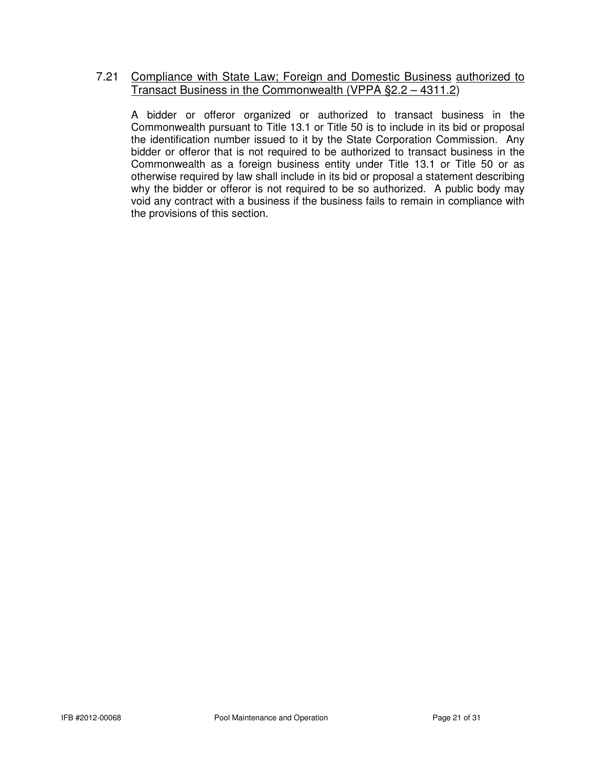## 7.21 Compliance with State Law; Foreign and Domestic Business authorized to Transact Business in the Commonwealth (VPPA §2.2 – 4311.2)

 A bidder or offeror organized or authorized to transact business in the Commonwealth pursuant to Title 13.1 or Title 50 is to include in its bid or proposal the identification number issued to it by the State Corporation Commission. Any bidder or offeror that is not required to be authorized to transact business in the Commonwealth as a foreign business entity under Title 13.1 or Title 50 or as otherwise required by law shall include in its bid or proposal a statement describing why the bidder or offeror is not required to be so authorized. A public body may void any contract with a business if the business fails to remain in compliance with the provisions of this section.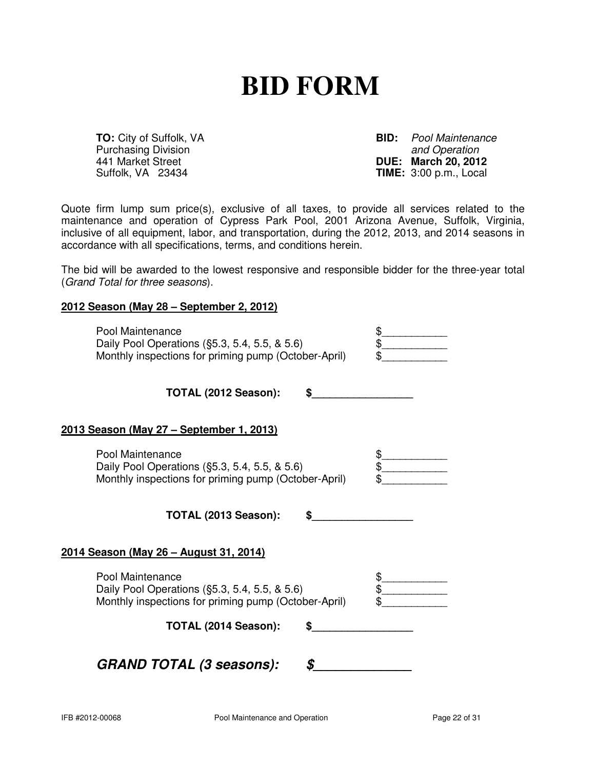## **BID FORM**

Purchasing Division<br>441 Market Street

**TO:** City of Suffolk, VA **BID:** Pool Maintenance Purchasing Division **BID:** Pool Maintenance 441 Market Street **DUE: March 20, 2012** Suffolk, VA 23434 **TIME:** 3:00 p.m., Local

Quote firm lump sum price(s), exclusive of all taxes, to provide all services related to the maintenance and operation of Cypress Park Pool, 2001 Arizona Avenue, Suffolk, Virginia, inclusive of all equipment, labor, and transportation, during the 2012, 2013, and 2014 seasons in accordance with all specifications, terms, and conditions herein.

The bid will be awarded to the lowest responsive and responsible bidder for the three-year total (Grand Total for three seasons).

## **2012 Season (May 28 – September 2, 2012)**

| Pool Maintenance                                     |  |
|------------------------------------------------------|--|
| Daily Pool Operations (§5.3, 5.4, 5.5, & 5.6)        |  |
| Monthly inspections for priming pump (October-April) |  |

**TOTAL (2012 Season): \$\_\_\_\_\_\_\_\_\_\_\_\_\_\_\_\_\_** 

## **2013 Season (May 27 – September 1, 2013)**

| Pool Maintenance                                     |  |
|------------------------------------------------------|--|
| Daily Pool Operations (§5.3, 5.4, 5.5, & 5.6)        |  |
| Monthly inspections for priming pump (October-April) |  |

**TOTAL (2013 Season): \$\_\_\_\_\_\_\_\_\_\_\_\_\_\_\_\_\_** 

## **2014 Season (May 26 – August 31, 2014)**

| Pool Maintenance                                     |  |
|------------------------------------------------------|--|
| Daily Pool Operations (§5.3, 5.4, 5.5, & 5.6)        |  |
| Monthly inspections for priming pump (October-April) |  |

**TOTAL (2014 Season): \$\_\_\_\_\_\_\_\_\_\_\_\_\_\_\_\_\_** 

## **GRAND TOTAL (3 seasons): \$\_\_\_\_\_\_\_\_\_\_\_\_\_**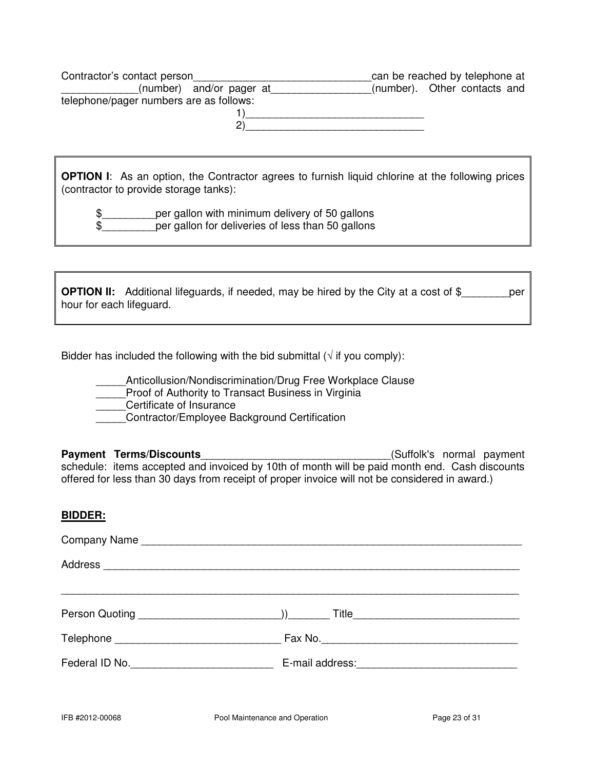| Contractor's contact person             | can be reached by telephone at |
|-----------------------------------------|--------------------------------|
| (number) and/or pager at                | (number). Other contacts and   |
| telephone/pager numbers are as follows: |                                |
|                                         |                                |
|                                         |                                |

**OPTION I**: As an option, the Contractor agrees to furnish liquid chlorine at the following prices (contractor to provide storage tanks):

\$ per gallon with minimum delivery of 50 gallons \$\_\_\_\_\_\_\_\_\_per gallon for deliveries of less than 50 gallons

**OPTION II:** Additional lifeguards, if needed, may be hired by the City at a cost of \$\_\_\_\_\_\_\_\_\_\_ per hour for each lifeguard.

Bidder has included the following with the bid submittal  $(\sqrt{t})$  if you comply):

Anticollusion/Nondiscrimination/Drug Free Workplace Clause

Proof of Authority to Transact Business in Virginia

\_\_\_\_\_Certificate of Insurance

Contractor/Employee Background Certification

**Payment Terms/Discounts Payment Terms/Discounts Example 20** (Suffolk's normal payment schedule: items accepted and invoiced by 10th of month will be paid month end. Cash discounts offered for less than 30 days from receipt of proper invoice will not be considered in award.)

## **BIDDER:**

| Federal ID No. |  |  |  |
|----------------|--|--|--|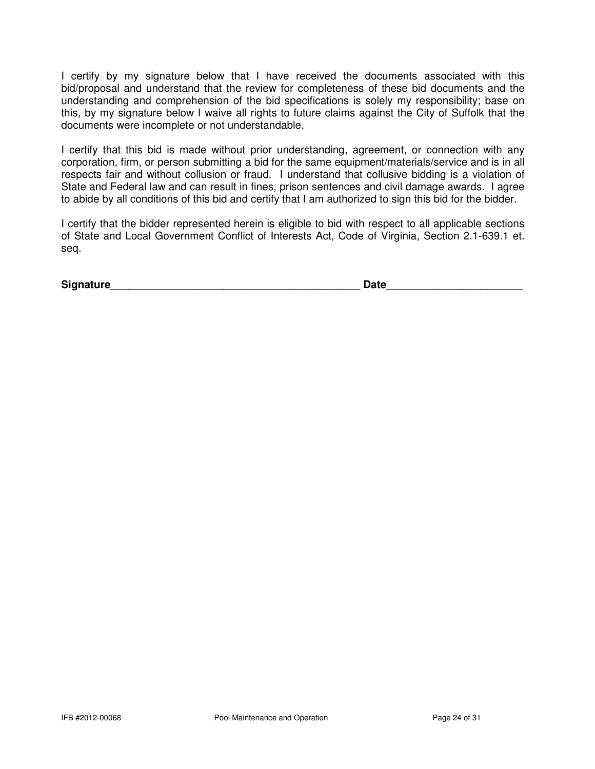I certify by my signature below that I have received the documents associated with this bid/proposal and understand that the review for completeness of these bid documents and the understanding and comprehension of the bid specifications is solely my responsibility; base on this, by my signature below I waive all rights to future claims against the City of Suffolk that the documents were incomplete or not understandable.

I certify that this bid is made without prior understanding, agreement, or connection with any corporation, firm, or person submitting a bid for the same equipment/materials/service and is in all respects fair and without collusion or fraud. I understand that collusive bidding is a violation of State and Federal law and can result in fines, prison sentences and civil damage awards. I agree to abide by all conditions of this bid and certify that I am authorized to sign this bid for the bidder.

I certify that the bidder represented herein is eligible to bid with respect to all applicable sections of State and Local Government Conflict of Interests Act, Code of Virginia, Section 2.1-639.1 et. seq.

| <b>Signature</b><br>Date |
|--------------------------|
|--------------------------|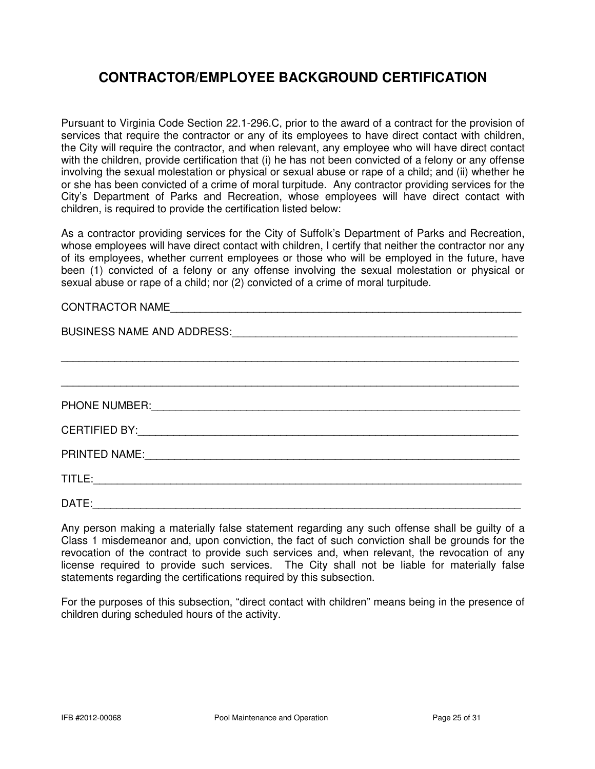## **CONTRACTOR/EMPLOYEE BACKGROUND CERTIFICATION**

Pursuant to Virginia Code Section 22.1-296.C, prior to the award of a contract for the provision of services that require the contractor or any of its employees to have direct contact with children, the City will require the contractor, and when relevant, any employee who will have direct contact with the children, provide certification that (i) he has not been convicted of a felony or any offense involving the sexual molestation or physical or sexual abuse or rape of a child; and (ii) whether he or she has been convicted of a crime of moral turpitude. Any contractor providing services for the City's Department of Parks and Recreation, whose employees will have direct contact with children, is required to provide the certification listed below:

As a contractor providing services for the City of Suffolk's Department of Parks and Recreation, whose employees will have direct contact with children, I certify that neither the contractor nor any of its employees, whether current employees or those who will be employed in the future, have been (1) convicted of a felony or any offense involving the sexual molestation or physical or sexual abuse or rape of a child; nor (2) convicted of a crime of moral turpitude.

## CONTRACTOR NAME

| BUSINESS NAME AND ADDRESS: Management of the state of the state of the state of the state of the state of the state of the state of the state of the state of the state of the state of the state of the state of the state of       |  |  |
|--------------------------------------------------------------------------------------------------------------------------------------------------------------------------------------------------------------------------------------|--|--|
|                                                                                                                                                                                                                                      |  |  |
|                                                                                                                                                                                                                                      |  |  |
| PHONE NUMBER: <u>Contract of the Second Contract of the Second Contract of the Second Contract of the Second Contract of the Second Contract of the Second Contract of the Second Contract of the Second Contract of the Second </u> |  |  |
|                                                                                                                                                                                                                                      |  |  |
|                                                                                                                                                                                                                                      |  |  |
| TITLE:                                                                                                                                                                                                                               |  |  |
| DATE:                                                                                                                                                                                                                                |  |  |

Any person making a materially false statement regarding any such offense shall be guilty of a Class 1 misdemeanor and, upon conviction, the fact of such conviction shall be grounds for the revocation of the contract to provide such services and, when relevant, the revocation of any license required to provide such services. The City shall not be liable for materially false statements regarding the certifications required by this subsection.

For the purposes of this subsection, "direct contact with children" means being in the presence of children during scheduled hours of the activity.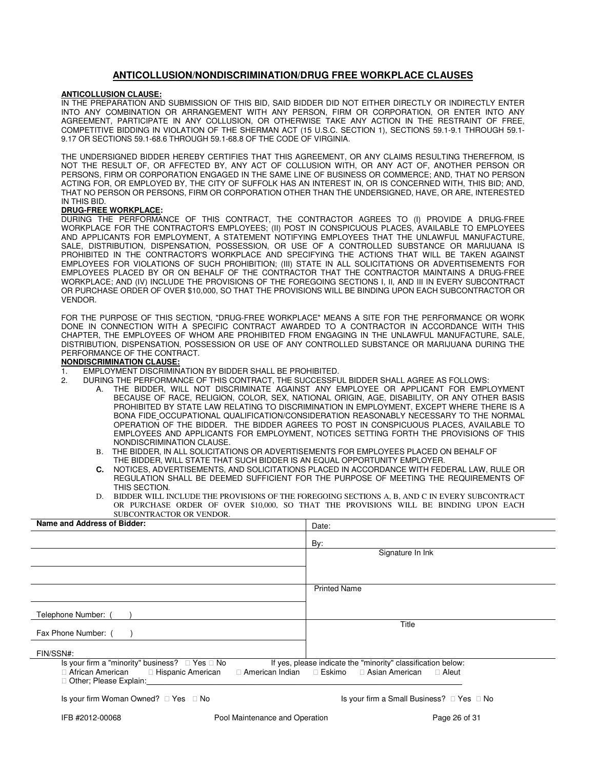#### **ANTICOLLUSION/NONDISCRIMINATION/DRUG FREE WORKPLACE CLAUSES**

#### **ANTICOLLUSION CLAUSE:**

IN THE PREPARATION AND SUBMISSION OF THIS BID, SAID BIDDER DID NOT EITHER DIRECTLY OR INDIRECTLY ENTER INTO ANY COMBINATION OR ARRANGEMENT WITH ANY PERSON, FIRM OR CORPORATION, OR ENTER INTO ANY AGREEMENT, PARTICIPATE IN ANY COLLUSION, OR OTHERWISE TAKE ANY ACTION IN THE RESTRAINT OF FREE, COMPETITIVE BIDDING IN VIOLATION OF THE SHERMAN ACT (15 U.S.C. SECTION 1), SECTIONS 59.1-9.1 THROUGH 59.1- 9.17 OR SECTIONS 59.1-68.6 THROUGH 59.1-68.8 OF THE CODE OF VIRGINIA.

THE UNDERSIGNED BIDDER HEREBY CERTIFIES THAT THIS AGREEMENT, OR ANY CLAIMS RESULTING THEREFROM, IS NOT THE RESULT OF, OR AFFECTED BY, ANY ACT OF COLLUSION WITH, OR ANY ACT OF, ANOTHER PERSON OR PERSONS, FIRM OR CORPORATION ENGAGED IN THE SAME LINE OF BUSINESS OR COMMERCE; AND, THAT NO PERSON ACTING FOR, OR EMPLOYED BY, THE CITY OF SUFFOLK HAS AN INTEREST IN, OR IS CONCERNED WITH, THIS BID; AND, THAT NO PERSON OR PERSONS, FIRM OR CORPORATION OTHER THAN THE UNDERSIGNED, HAVE, OR ARE, INTERESTED IN THIS BID.

#### **DRUG-FREE WORKPLACE:**

DURING THE PERFORMANCE OF THIS CONTRACT, THE CONTRACTOR AGREES TO (I) PROVIDE A DRUG-FREE WORKPLACE FOR THE CONTRACTOR'S EMPLOYEES; (II) POST IN CONSPICUOUS PLACES, AVAILABLE TO EMPLOYEES AND APPLICANTS FOR EMPLOYMENT, A STATEMENT NOTIFYING EMPLOYEES THAT THE UNLAWFUL MANUFACTURE, SALE, DISTRIBUTION, DISPENSATION, POSSESSION, OR USE OF A CONTROLLED SUBSTANCE OR MARIJUANA IS PROHIBITED IN THE CONTRACTOR'S WORKPLACE AND SPECIFYING THE ACTIONS THAT WILL BE TAKEN AGAINST EMPLOYEES FOR VIOLATIONS OF SUCH PROHIBITION; (III) STATE IN ALL SOLICITATIONS OR ADVERTISEMENTS FOR EMPLOYEES PLACED BY OR ON BEHALF OF THE CONTRACTOR THAT THE CONTRACTOR MAINTAINS A DRUG-FREE WORKPLACE; AND (IV) INCLUDE THE PROVISIONS OF THE FOREGOING SECTIONS I, II, AND III IN EVERY SUBCONTRACT OR PURCHASE ORDER OF OVER \$10,000, SO THAT THE PROVISIONS WILL BE BINDING UPON EACH SUBCONTRACTOR OR VENDOR.

FOR THE PURPOSE OF THIS SECTION, "DRUG-FREE WORKPLACE" MEANS A SITE FOR THE PERFORMANCE OR WORK DONE IN CONNECTION WITH A SPECIFIC CONTRACT AWARDED TO A CONTRACTOR IN ACCORDANCE WITH THIS CHAPTER, THE EMPLOYEES OF WHOM ARE PROHIBITED FROM ENGAGING IN THE UNLAWFUL MANUFACTURE, SALE, DISTRIBUTION, DISPENSATION, POSSESSION OR USE OF ANY CONTROLLED SUBSTANCE OR MARIJUANA DURING THE PERFORMANCE OF THE CONTRACT.

#### **NONDISCRIMINATION CLAUSE:**

- 1. EMPLOYMENT DISCRIMINATION BY BIDDER SHALL BE PROHIBITED.
- 2. DURING THE PERFORMANCE OF THIS CONTRACT, THE SUCCESSFUL BIDDER SHALL AGREE AS FOLLOWS:
- A. THE BIDDER, WILL NOT DISCRIMINATE AGAINST ANY EMPLOYEE OR APPLICANT FOR EMPLOYMENT BECAUSE OF RACE, RELIGION, COLOR, SEX, NATIONAL ORIGIN, AGE, DISABILITY, OR ANY OTHER BASIS PROHIBITED BY STATE LAW RELATING TO DISCRIMINATION IN EMPLOYMENT, EXCEPT WHERE THERE IS A BONA FIDE OCCUPATIONAL QUALIFICATION/CONSIDERATION REASONABLY NECESSARY TO THE NORMAL OPERATION OF THE BIDDER. THE BIDDER AGREES TO POST IN CONSPICUOUS PLACES, AVAILABLE TO EMPLOYEES AND APPLICANTS FOR EMPLOYMENT, NOTICES SETTING FORTH THE PROVISIONS OF THIS NONDISCRIMINATION CLAUSE.
	- B. THE BIDDER, IN ALL SOLICITATIONS OR ADVERTISEMENTS FOR EMPLOYEES PLACED ON BEHALF OF THE BIDDER, WILL STATE THAT SUCH BIDDER IS AN EQUAL OPPORTUNITY EMPLOYER.
	- **C.** NOTICES, ADVERTISEMENTS, AND SOLICITATIONS PLACED IN ACCORDANCE WITH FEDERAL LAW, RULE OR REGULATION SHALL BE DEEMED SUFFICIENT FOR THE PURPOSE OF MEETING THE REQUIREMENTS OF THIS SECTION.
	- D. BIDDER WILL INCLUDE THE PROVISIONS OF THE FOREGOING SECTIONS A, B, AND C IN EVERY SUBCONTRACT OR PURCHASE ORDER OF OVER \$10,000, SO THAT THE PROVISIONS WILL BE BINDING UPON EACH SUBCONTRACTOR OR VENDOR.

| Name and Address of Bidder:                                                                                                                                                                                                                                 | Date:               |  |
|-------------------------------------------------------------------------------------------------------------------------------------------------------------------------------------------------------------------------------------------------------------|---------------------|--|
|                                                                                                                                                                                                                                                             | By:                 |  |
|                                                                                                                                                                                                                                                             | Signature In Ink    |  |
|                                                                                                                                                                                                                                                             |                     |  |
|                                                                                                                                                                                                                                                             | <b>Printed Name</b> |  |
|                                                                                                                                                                                                                                                             |                     |  |
| Telephone Number:                                                                                                                                                                                                                                           |                     |  |
| Fax Phone Number: (                                                                                                                                                                                                                                         | Title               |  |
| FIN/SSN#:                                                                                                                                                                                                                                                   |                     |  |
| Is your firm a "minority" business? $\Box$ Yes $\Box$ No<br>If yes, please indicate the "minority" classification below:<br>□ American Indian □ Eskimo □ Asian American<br>□ African American □ Hispanic American<br>$\Box$ Aleut<br>Other; Please Explain: |                     |  |

Is your firm Woman Owned? □ Yes □ No Is your firm a Small Business? □ Yes □ No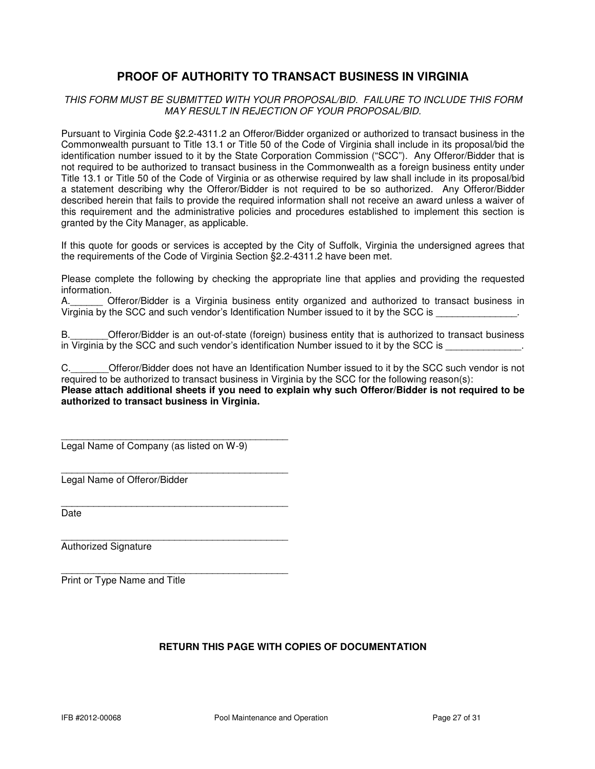## **PROOF OF AUTHORITY TO TRANSACT BUSINESS IN VIRGINIA**

#### THIS FORM MUST BE SUBMITTED WITH YOUR PROPOSAL/BID. FAILURE TO INCLUDE THIS FORM MAY RESULT IN REJECTION OF YOUR PROPOSAL/BID.

Pursuant to Virginia Code §2.2-4311.2 an Offeror/Bidder organized or authorized to transact business in the Commonwealth pursuant to Title 13.1 or Title 50 of the Code of Virginia shall include in its proposal/bid the identification number issued to it by the State Corporation Commission ("SCC"). Any Offeror/Bidder that is not required to be authorized to transact business in the Commonwealth as a foreign business entity under Title 13.1 or Title 50 of the Code of Virginia or as otherwise required by law shall include in its proposal/bid a statement describing why the Offeror/Bidder is not required to be so authorized. Any Offeror/Bidder described herein that fails to provide the required information shall not receive an award unless a waiver of this requirement and the administrative policies and procedures established to implement this section is granted by the City Manager, as applicable.

If this quote for goods or services is accepted by the City of Suffolk, Virginia the undersigned agrees that the requirements of the Code of Virginia Section §2.2-4311.2 have been met.

Please complete the following by checking the appropriate line that applies and providing the requested information.

A.\_\_\_\_\_\_ Offeror/Bidder is a Virginia business entity organized and authorized to transact business in Virginia by the SCC and such vendor's Identification Number issued to it by the SCC is \_\_\_\_\_\_\_\_\_\_\_\_\_\_\_.

B.\_\_\_\_\_\_\_Offeror/Bidder is an out-of-state (foreign) business entity that is authorized to transact business in Virginia by the SCC and such vendor's identification Number issued to it by the SCC is

C. C. Citeror/Bidder does not have an Identification Number issued to it by the SCC such vendor is not required to be authorized to transact business in Virginia by the SCC for the following reason(s): **Please attach additional sheets if you need to explain why such Offeror/Bidder is not required to be authorized to transact business in Virginia.** 

\_\_\_\_\_\_\_\_\_\_\_\_\_\_\_\_\_\_\_\_\_\_\_\_\_\_\_\_\_\_\_\_\_\_\_\_\_\_\_\_\_\_ Legal Name of Company (as listed on W-9)

\_\_\_\_\_\_\_\_\_\_\_\_\_\_\_\_\_\_\_\_\_\_\_\_\_\_\_\_\_\_\_\_\_\_\_\_\_\_\_\_\_\_

 $\overline{\phantom{a}}$  , and the set of the set of the set of the set of the set of the set of the set of the set of the set of the set of the set of the set of the set of the set of the set of the set of the set of the set of the s

 $\overline{\phantom{a}}$  , and the set of the set of the set of the set of the set of the set of the set of the set of the set of the set of the set of the set of the set of the set of the set of the set of the set of the set of the s Legal Name of Offeror/Bidder

Date

 $\overline{\phantom{a}}$  , and the set of the set of the set of the set of the set of the set of the set of the set of the set of the set of the set of the set of the set of the set of the set of the set of the set of the set of the s Authorized Signature

Print or Type Name and Title

## **RETURN THIS PAGE WITH COPIES OF DOCUMENTATION**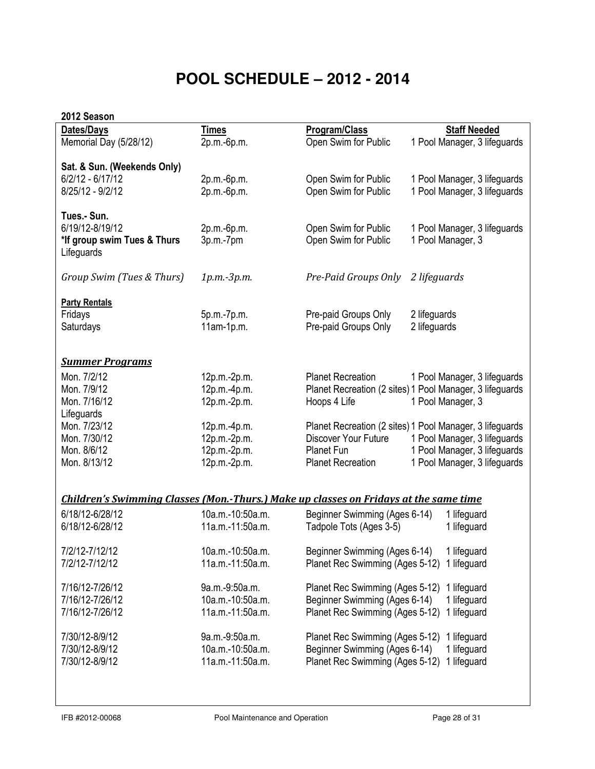## **POOL SCHEDULE – 2012 - 2014**

## 2012 Season

| Dates/Days                                                                                   | <b>Times</b>     | Program/Class                               | <b>Staff Needed</b>                                      |
|----------------------------------------------------------------------------------------------|------------------|---------------------------------------------|----------------------------------------------------------|
| Memorial Day (5/28/12)                                                                       | 2p.m.-6p.m.      | Open Swim for Public                        | 1 Pool Manager, 3 lifeguards                             |
|                                                                                              |                  |                                             |                                                          |
|                                                                                              |                  |                                             |                                                          |
| Sat. & Sun. (Weekends Only)                                                                  |                  |                                             |                                                          |
| $6/2/12 - 6/17/12$                                                                           | 2p.m.-6p.m.      | Open Swim for Public                        | 1 Pool Manager, 3 lifeguards                             |
|                                                                                              |                  |                                             |                                                          |
| 8/25/12 - 9/2/12                                                                             | 2p.m.-6p.m.      | Open Swim for Public                        | 1 Pool Manager, 3 lifeguards                             |
|                                                                                              |                  |                                             |                                                          |
| Tues.- Sun.                                                                                  |                  |                                             |                                                          |
|                                                                                              |                  |                                             |                                                          |
| 6/19/12-8/19/12                                                                              | 2p.m.-6p.m.      | Open Swim for Public                        | 1 Pool Manager, 3 lifeguards                             |
| *If group swim Tues & Thurs                                                                  | 3p.m.-7pm        | Open Swim for Public                        | 1 Pool Manager, 3                                        |
| Lifeguards                                                                                   |                  |                                             |                                                          |
|                                                                                              |                  |                                             |                                                          |
|                                                                                              |                  |                                             |                                                          |
| Group Swim (Tues & Thurs)                                                                    | 1p.m.-3p.m.      | Pre-Paid Groups Only                        | 2 lifeguards                                             |
|                                                                                              |                  |                                             |                                                          |
|                                                                                              |                  |                                             |                                                          |
| <b>Party Rentals</b>                                                                         |                  |                                             |                                                          |
| Fridays                                                                                      | 5p.m.-7p.m.      | Pre-paid Groups Only                        | 2 lifeguards                                             |
| Saturdays                                                                                    | 11am-1p.m.       | Pre-paid Groups Only                        | 2 lifeguards                                             |
|                                                                                              |                  |                                             |                                                          |
|                                                                                              |                  |                                             |                                                          |
|                                                                                              |                  |                                             |                                                          |
| <b>Summer Programs</b>                                                                       |                  |                                             |                                                          |
|                                                                                              |                  |                                             |                                                          |
| Mon. 7/2/12                                                                                  | 12p.m.-2p.m.     | <b>Planet Recreation</b>                    | 1 Pool Manager, 3 lifeguards                             |
| Mon. 7/9/12                                                                                  | 12p.m.-4p.m.     |                                             | Planet Recreation (2 sites) 1 Pool Manager, 3 lifeguards |
| Mon. 7/16/12                                                                                 |                  | Hoops 4 Life                                | 1 Pool Manager, 3                                        |
|                                                                                              | 12p.m.-2p.m.     |                                             |                                                          |
| Lifeguards                                                                                   |                  |                                             |                                                          |
| Mon. 7/23/12                                                                                 | 12p.m.-4p.m.     |                                             | Planet Recreation (2 sites) 1 Pool Manager, 3 lifeguards |
| Mon. 7/30/12                                                                                 | 12p.m.-2p.m.     | Discover Your Future                        | 1 Pool Manager, 3 lifeguards                             |
|                                                                                              |                  |                                             |                                                          |
| Mon. 8/6/12                                                                                  | 12p.m.-2p.m.     | <b>Planet Fun</b>                           | 1 Pool Manager, 3 lifeguards                             |
| Mon. 8/13/12                                                                                 | 12p.m.-2p.m.     | <b>Planet Recreation</b>                    | 1 Pool Manager, 3 lifeguards                             |
|                                                                                              |                  |                                             |                                                          |
|                                                                                              |                  |                                             |                                                          |
|                                                                                              |                  |                                             |                                                          |
| <b>Children's Swimming Classes (Mon.-Thurs.) Make up classes on Fridays at the same time</b> |                  |                                             |                                                          |
| 6/18/12-6/28/12                                                                              | 10a.m.-10:50a.m. |                                             |                                                          |
|                                                                                              |                  | Beginner Swimming (Ages 6-14)               | 1 lifeguard                                              |
| 6/18/12-6/28/12                                                                              | 11a.m.-11:50a.m. | Tadpole Tots (Ages 3-5)                     | 1 lifeguard                                              |
|                                                                                              |                  |                                             |                                                          |
|                                                                                              | 10a.m.-10:50a.m. |                                             |                                                          |
| 7/2/12-7/12/12                                                                               |                  | Beginner Swimming (Ages 6-14)               | 1 lifeguard                                              |
| 7/2/12-7/12/12                                                                               | 11a.m.-11:50a.m. | Planet Rec Swimming (Ages 5-12) 1 lifeguard |                                                          |
|                                                                                              |                  |                                             |                                                          |
| 7/16/12-7/26/12                                                                              | 9a.m.-9:50a.m.   | Planet Rec Swimming (Ages 5-12)             |                                                          |
|                                                                                              |                  |                                             | 1 lifeguard                                              |
| 7/16/12-7/26/12                                                                              | 10a.m.-10:50a.m. | Beginner Swimming (Ages 6-14)               | 1 lifeguard                                              |
| 7/16/12-7/26/12                                                                              | 11a.m.-11:50a.m. | Planet Rec Swimming (Ages 5-12)             | 1 lifeguard                                              |
|                                                                                              |                  |                                             |                                                          |
|                                                                                              |                  |                                             |                                                          |
| 7/30/12-8/9/12                                                                               | 9a.m.-9:50a.m.   | Planet Rec Swimming (Ages 5-12)             | 1 lifeguard                                              |
| 7/30/12-8/9/12                                                                               | 10a.m.-10:50a.m. | Beginner Swimming (Ages 6-14)               | 1 lifeguard                                              |
| 7/30/12-8/9/12                                                                               | 11a.m.-11:50a.m. | Planet Rec Swimming (Ages 5-12)             | 1 lifeguard                                              |
|                                                                                              |                  |                                             |                                                          |
|                                                                                              |                  |                                             |                                                          |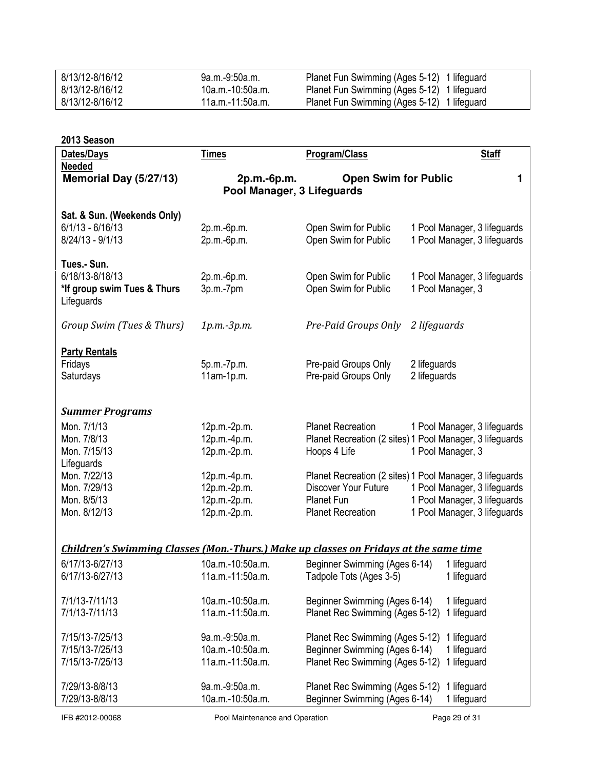| 8/13/12-8/16/12 | .9a.m.-9:50a.m   | Planet Fun Swimming (Ages 5-12) 1 lifeguard |
|-----------------|------------------|---------------------------------------------|
| 8/13/12-8/16/12 | .10a.m.-10:50a.m | Planet Fun Swimming (Ages 5-12) 1 lifeguard |
| 8/13/12-8/16/12 | 11a.m.-11:50a.m. | Planet Fun Swimming (Ages 5-12) 1 lifeguard |

| 2013 Season                                                                                  |                  |                                 |                                                          |  |  |  |
|----------------------------------------------------------------------------------------------|------------------|---------------------------------|----------------------------------------------------------|--|--|--|
| Dates/Days                                                                                   | <b>Times</b>     | Program/Class                   | <b>Staff</b>                                             |  |  |  |
| <b>Needed</b><br>Memorial Day (5/27/13)                                                      |                  | <b>Open Swim for Public</b>     | 1.                                                       |  |  |  |
|                                                                                              | 2p.m.-6p.m.      |                                 |                                                          |  |  |  |
| Pool Manager, 3 Lifeguards                                                                   |                  |                                 |                                                          |  |  |  |
| Sat. & Sun. (Weekends Only)                                                                  |                  |                                 |                                                          |  |  |  |
| $6/1/13 - 6/16/13$                                                                           | 2p.m.-6p.m.      | Open Swim for Public            | 1 Pool Manager, 3 lifeguards                             |  |  |  |
| $8/24/13 - 9/1/13$                                                                           | 2p.m.-6p.m.      | Open Swim for Public            | 1 Pool Manager, 3 lifeguards                             |  |  |  |
|                                                                                              |                  |                                 |                                                          |  |  |  |
| Tues.- Sun.                                                                                  |                  |                                 |                                                          |  |  |  |
| 6/18/13-8/18/13                                                                              | 2p.m.-6p.m.      | Open Swim for Public            | 1 Pool Manager, 3 lifeguards                             |  |  |  |
| *If group swim Tues & Thurs                                                                  | 3p.m.-7pm        | Open Swim for Public            | 1 Pool Manager, 3                                        |  |  |  |
| Lifeguards                                                                                   |                  |                                 |                                                          |  |  |  |
| Group Swim (Tues & Thurs)                                                                    | 1p.m.-3p.m.      | Pre-Paid Groups Only            | 2 lifeguards                                             |  |  |  |
|                                                                                              |                  |                                 |                                                          |  |  |  |
| <b>Party Rentals</b>                                                                         |                  |                                 |                                                          |  |  |  |
| Fridays                                                                                      | 5p.m.-7p.m.      | Pre-paid Groups Only            | 2 lifeguards                                             |  |  |  |
| Saturdays                                                                                    | 11am-1p.m.       | Pre-paid Groups Only            | 2 lifeguards                                             |  |  |  |
|                                                                                              |                  |                                 |                                                          |  |  |  |
|                                                                                              |                  |                                 |                                                          |  |  |  |
| <b>Summer Programs</b>                                                                       |                  |                                 |                                                          |  |  |  |
| Mon. 7/1/13                                                                                  | 12p.m.-2p.m.     | <b>Planet Recreation</b>        | 1 Pool Manager, 3 lifeguards                             |  |  |  |
| Mon. 7/8/13                                                                                  | 12p.m.-4p.m.     |                                 | Planet Recreation (2 sites) 1 Pool Manager, 3 lifeguards |  |  |  |
| Mon. 7/15/13<br>Lifeguards                                                                   | 12p.m.-2p.m.     | Hoops 4 Life                    | 1 Pool Manager, 3                                        |  |  |  |
| Mon. 7/22/13                                                                                 | 12p.m.-4p.m.     |                                 | Planet Recreation (2 sites) 1 Pool Manager, 3 lifeguards |  |  |  |
| Mon. 7/29/13                                                                                 | 12p.m.-2p.m.     | Discover Your Future            | 1 Pool Manager, 3 lifeguards                             |  |  |  |
| Mon. 8/5/13                                                                                  | 12p.m.-2p.m.     | Planet Fun                      | 1 Pool Manager, 3 lifeguards                             |  |  |  |
| Mon. 8/12/13                                                                                 | 12p.m.-2p.m.     | <b>Planet Recreation</b>        | 1 Pool Manager, 3 lifeguards                             |  |  |  |
|                                                                                              |                  |                                 |                                                          |  |  |  |
|                                                                                              |                  |                                 |                                                          |  |  |  |
| <b>Children's Swimming Classes (Mon.-Thurs.) Make up classes on Fridays at the same time</b> |                  |                                 |                                                          |  |  |  |
| 6/17/13-6/27/13                                                                              | 10a.m.-10:50a.m. | Beginner Swimming (Ages 6-14)   | 1 lifeguard                                              |  |  |  |
| 6/17/13-6/27/13                                                                              | 11a.m.-11:50a.m. | Tadpole Tots (Ages 3-5)         | 1 lifeguard                                              |  |  |  |
| 7/1/13-7/11/13                                                                               | 10a.m.-10:50a.m. | Beginner Swimming (Ages 6-14)   | 1 lifeguard                                              |  |  |  |
| 7/1/13-7/11/13                                                                               | 11a.m.-11:50a.m. | Planet Rec Swimming (Ages 5-12) | 1 lifeguard                                              |  |  |  |
|                                                                                              |                  |                                 |                                                          |  |  |  |
| 7/15/13-7/25/13                                                                              | 9a.m.-9:50a.m.   | Planet Rec Swimming (Ages 5-12) | 1 lifeguard                                              |  |  |  |
| 7/15/13-7/25/13                                                                              | 10a.m.-10:50a.m. | Beginner Swimming (Ages 6-14)   | 1 lifeguard                                              |  |  |  |
| 7/15/13-7/25/13                                                                              | 11a.m.-11:50a.m. | Planet Rec Swimming (Ages 5-12) | 1 lifeguard                                              |  |  |  |
|                                                                                              |                  |                                 |                                                          |  |  |  |
| 7/29/13-8/8/13                                                                               | 9a.m.-9:50a.m.   | Planet Rec Swimming (Ages 5-12) | 1 lifeguard                                              |  |  |  |
| 7/29/13-8/8/13                                                                               | 10a.m.-10:50a.m. | Beginner Swimming (Ages 6-14)   | 1 lifeguard                                              |  |  |  |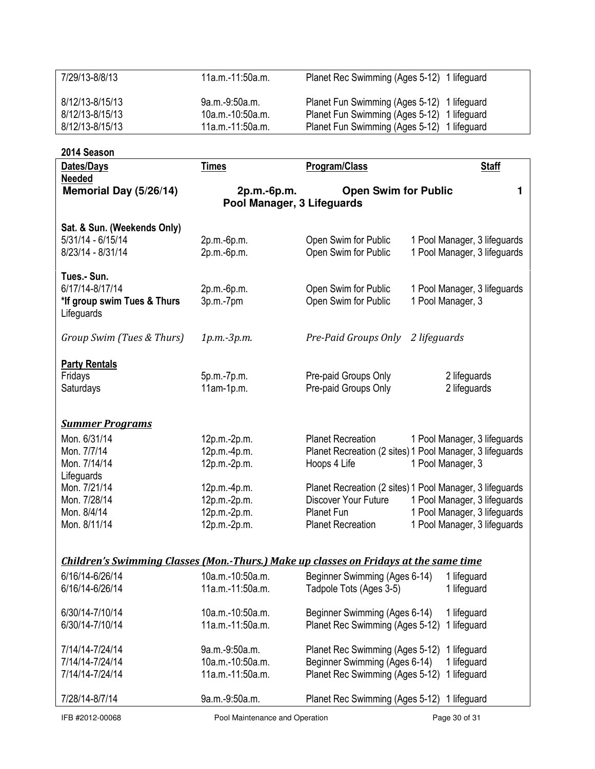| 7/29/13-8/8/13                            | 11a.m.-11:50a.m.                                                              | Planet Rec Swimming (Ages 5-12) 1 lifeguard                                                  |  |  |
|-------------------------------------------|-------------------------------------------------------------------------------|----------------------------------------------------------------------------------------------|--|--|
|                                           |                                                                               |                                                                                              |  |  |
| 8/12/13-8/15/13                           | 9a.m.-9:50a.m.                                                                | Planet Fun Swimming (Ages 5-12)<br>1 lifeguard                                               |  |  |
| 8/12/13-8/15/13                           | 10a.m.-10:50a.m.                                                              | Planet Fun Swimming (Ages 5-12)<br>1 lifeguard                                               |  |  |
| 8/12/13-8/15/13                           | 11a.m.-11:50a.m.                                                              | Planet Fun Swimming (Ages 5-12)<br>1 lifeguard                                               |  |  |
|                                           |                                                                               |                                                                                              |  |  |
| 2014 Season                               |                                                                               |                                                                                              |  |  |
| Dates/Days<br><b>Needed</b>               | <b>Times</b>                                                                  | Program/Class<br><b>Staff</b>                                                                |  |  |
| Memorial Day (5/26/14)                    | <b>Open Swim for Public</b><br>2p.m.-6p.m.<br>1<br>Pool Manager, 3 Lifeguards |                                                                                              |  |  |
| Sat. & Sun. (Weekends Only)               |                                                                               |                                                                                              |  |  |
| $5/31/14 - 6/15/14$                       | 2p.m.-6p.m.                                                                   | Open Swim for Public<br>1 Pool Manager, 3 lifeguards                                         |  |  |
| 8/23/14 - 8/31/14                         | 2p.m.-6p.m.                                                                   | Open Swim for Public<br>1 Pool Manager, 3 lifeguards                                         |  |  |
|                                           |                                                                               |                                                                                              |  |  |
| Tues.- Sun.                               |                                                                               |                                                                                              |  |  |
| 6/17/14-8/17/14                           | 2p.m.-6p.m.                                                                   | Open Swim for Public<br>1 Pool Manager, 3 lifeguards                                         |  |  |
| *If group swim Tues & Thurs<br>Lifeguards | 3p.m.-7pm                                                                     | Open Swim for Public<br>1 Pool Manager, 3                                                    |  |  |
| Group Swim (Tues & Thurs)                 | 1p.m.-3p.m.                                                                   | Pre-Paid Groups Only<br>2 lifeguards                                                         |  |  |
| <b>Party Rentals</b>                      |                                                                               |                                                                                              |  |  |
| Fridays                                   | 5p.m.-7p.m.                                                                   | Pre-paid Groups Only<br>2 lifeguards                                                         |  |  |
| Saturdays                                 | $11am-1p.m.$                                                                  | 2 lifeguards<br>Pre-paid Groups Only                                                         |  |  |
|                                           |                                                                               |                                                                                              |  |  |
| <b>Summer Programs</b>                    |                                                                               |                                                                                              |  |  |
| Mon. 6/31/14                              | 12p.m.-2p.m.                                                                  | <b>Planet Recreation</b><br>1 Pool Manager, 3 lifeguards                                     |  |  |
| Mon. 7/7/14                               | 12p.m.-4p.m.                                                                  | Planet Recreation (2 sites) 1 Pool Manager, 3 lifeguards                                     |  |  |
| Mon. 7/14/14                              | 12p.m.-2p.m.                                                                  | Hoops 4 Life<br>1 Pool Manager, 3                                                            |  |  |
| Lifeguards                                |                                                                               |                                                                                              |  |  |
| Mon. 7/21/14                              | 12p.m.-4p.m.                                                                  | Planet Recreation (2 sites) 1 Pool Manager, 3 lifeguards                                     |  |  |
| Mon. 7/28/14                              | 12p.m.-2p.m.                                                                  | Discover Your Future<br>1 Pool Manager, 3 lifeguards                                         |  |  |
| Mon. 8/4/14                               | 12p.m.-2p.m.                                                                  | Planet Fun<br>1 Pool Manager, 3 lifeguards                                                   |  |  |
| Mon. 8/11/14                              | 12p.m.-2p.m.                                                                  | <b>Planet Recreation</b><br>1 Pool Manager, 3 lifeguards                                     |  |  |
|                                           |                                                                               |                                                                                              |  |  |
|                                           |                                                                               | <b>Children's Swimming Classes (Mon.-Thurs.) Make up classes on Fridays at the same time</b> |  |  |
| 6/16/14-6/26/14                           | 10a.m.-10:50a.m.                                                              |                                                                                              |  |  |
| 6/16/14-6/26/14                           | 11a.m.-11:50a.m.                                                              | Beginner Swimming (Ages 6-14)<br>1 lifeguard                                                 |  |  |
|                                           |                                                                               | Tadpole Tots (Ages 3-5)<br>1 lifeguard                                                       |  |  |
| 6/30/14-7/10/14                           | 10a.m.-10:50a.m.                                                              | Beginner Swimming (Ages 6-14)<br>1 lifeguard                                                 |  |  |
| 6/30/14-7/10/14                           | 11a.m.-11:50a.m.                                                              | Planet Rec Swimming (Ages 5-12)<br>1 lifeguard                                               |  |  |
|                                           |                                                                               |                                                                                              |  |  |
| 7/14/14-7/24/14                           | 9a.m.-9:50a.m.                                                                | Planet Rec Swimming (Ages 5-12)<br>1 lifeguard                                               |  |  |
| 7/14/14-7/24/14                           | 10a.m.-10:50a.m.                                                              | Beginner Swimming (Ages 6-14)<br>1 lifeguard                                                 |  |  |
| 7/14/14-7/24/14                           | 11a.m.-11:50a.m.                                                              | Planet Rec Swimming (Ages 5-12)<br>1 lifeguard                                               |  |  |
|                                           |                                                                               |                                                                                              |  |  |
| 7/28/14-8/7/14                            | 9a.m.-9:50a.m.                                                                | Planet Rec Swimming (Ages 5-12) 1 lifeguard                                                  |  |  |

IFB #2012-00068 Pool Maintenance and Operation Page 30 of 31